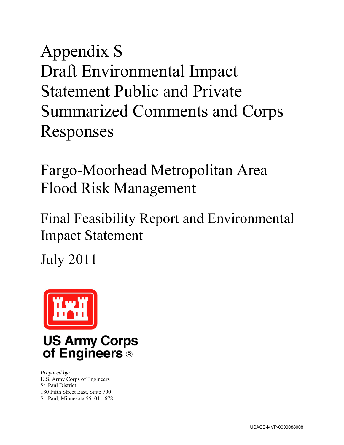Appendix S Draft Environmental Impact Statement Public and Private Summarized Comments and Corps Responses

Fargo-Moorhead Metropolitan Area Flood Risk Management

Final Feasibility Report and Environmental Impact Statement

July 2011



*Prepared by:*  U.S. Army Corps of Engineers St. Paul District 180 Fifth Street East, Suite 700 St. Paul, Minnesota 55101-1678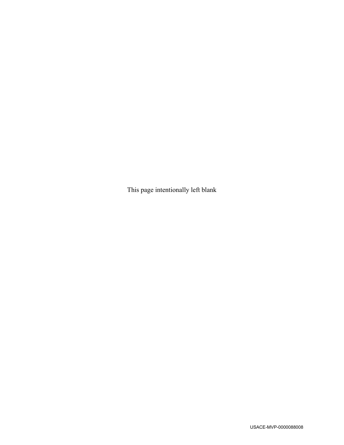This page intentionally left blank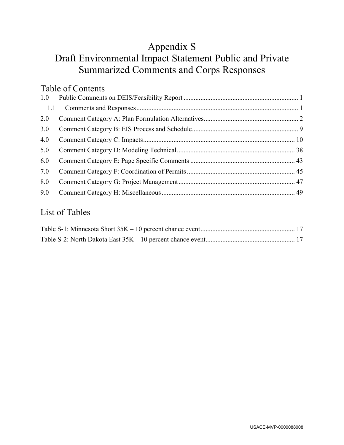# Appendix S

# Draft Environmental Impact Statement Public and Private Summarized Comments and Corps Responses

# Table of Contents

| 1.1 |  |  |  |
|-----|--|--|--|
| 2.0 |  |  |  |
| 3.0 |  |  |  |
| 4.0 |  |  |  |
| 5.0 |  |  |  |
| 6.0 |  |  |  |
| 7.0 |  |  |  |
| 8.0 |  |  |  |
| 9.0 |  |  |  |

# List of Tables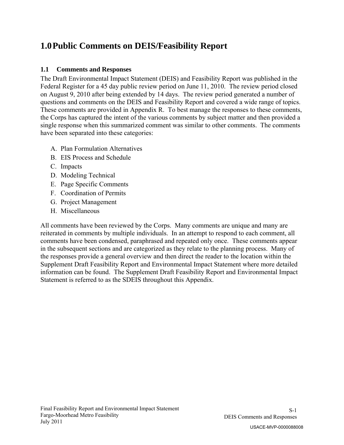# **1.0Public Comments on DEIS/Feasibility Report**

# **1.1 Comments and Responses**

The Draft Environmental Impact Statement (DEIS) and Feasibility Report was published in the Federal Register for a 45 day public review period on June 11, 2010. The review period closed on August 9, 2010 after being extended by 14 days. The review period generated a number of questions and comments on the DEIS and Feasibility Report and covered a wide range of topics. These comments are provided in Appendix R. To best manage the responses to these comments, the Corps has captured the intent of the various comments by subject matter and then provided a single response when this summarized comment was similar to other comments. The comments have been separated into these categories:

- A. Plan Formulation Alternatives
- B. EIS Process and Schedule
- C. Impacts
- D. Modeling Technical
- E. Page Specific Comments
- F. Coordination of Permits
- G. Project Management
- H. Miscellaneous

All comments have been reviewed by the Corps. Many comments are unique and many are reiterated in comments by multiple individuals. In an attempt to respond to each comment, all comments have been condensed, paraphrased and repeated only once. These comments appear in the subsequent sections and are categorized as they relate to the planning process. Many of the responses provide a general overview and then direct the reader to the location within the Supplement Draft Feasibility Report and Environmental Impact Statement where more detailed information can be found. The Supplement Draft Feasibility Report and Environmental Impact Statement is referred to as the SDEIS throughout this Appendix.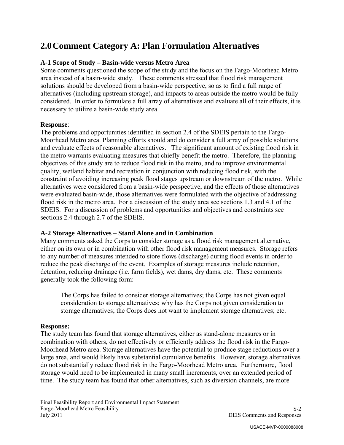# **2.0Comment Category A: Plan Formulation Alternatives**

## **A-1 Scope of Study – Basin-wide versus Metro Area**

Some comments questioned the scope of the study and the focus on the Fargo-Moorhead Metro area instead of a basin-wide study. These comments stressed that flood risk management solutions should be developed from a basin-wide perspective, so as to find a full range of alternatives (including upstream storage), and impacts to areas outside the metro would be fully considered. In order to formulate a full array of alternatives and evaluate all of their effects, it is necessary to utilize a basin-wide study area.

#### **Response**:

The problems and opportunities identified in section 2.4 of the SDEIS pertain to the Fargo-Moorhead Metro area. Planning efforts should and do consider a full array of possible solutions and evaluate effects of reasonable alternatives. The significant amount of existing flood risk in the metro warrants evaluating measures that chiefly benefit the metro. Therefore, the planning objectives of this study are to reduce flood risk in the metro, and to improve environmental quality, wetland habitat and recreation in conjunction with reducing flood risk, with the constraint of avoiding increasing peak flood stages upstream or downstream of the metro. While alternatives were considered from a basin-wide perspective, and the effects of those alternatives were evaluated basin-wide, those alternatives were formulated with the objective of addressing flood risk in the metro area. For a discussion of the study area see sections 1.3 and 4.1 of the SDEIS. For a discussion of problems and opportunities and objectives and constraints see sections 2.4 through 2.7 of the SDEIS.

# **A-2 Storage Alternatives – Stand Alone and in Combination**

Many comments asked the Corps to consider storage as a flood risk management alternative, either on its own or in combination with other flood risk management measures. Storage refers to any number of measures intended to store flows (discharge) during flood events in order to reduce the peak discharge of the event. Examples of storage measures include retention, detention, reducing drainage (i.e. farm fields), wet dams, dry dams, etc. These comments generally took the following form:

The Corps has failed to consider storage alternatives; the Corps has not given equal consideration to storage alternatives; why has the Corps not given consideration to storage alternatives; the Corps does not want to implement storage alternatives; etc.

# **Response:**

The study team has found that storage alternatives, either as stand-alone measures or in combination with others, do not effectively or efficiently address the flood risk in the Fargo-Moorhead Metro area. Storage alternatives have the potential to produce stage reductions over a large area, and would likely have substantial cumulative benefits. However, storage alternatives do not substantially reduce flood risk in the Fargo-Moorhead Metro area. Furthermore, flood storage would need to be implemented in many small increments, over an extended period of time. The study team has found that other alternatives, such as diversion channels, are more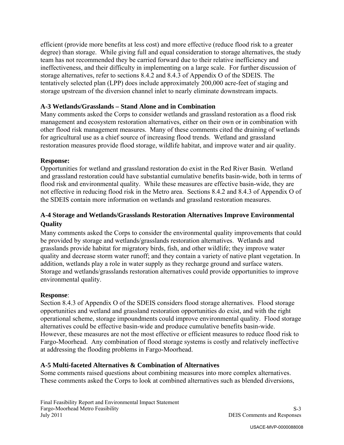efficient (provide more benefits at less cost) and more effective (reduce flood risk to a greater degree) than storage. While giving full and equal consideration to storage alternatives, the study team has not recommended they be carried forward due to their relative inefficiency and ineffectiveness, and their difficulty in implementing on a large scale. For further discussion of storage alternatives, refer to sections 8.4.2 and 8.4.3 of Appendix O of the SDEIS. The tentatively selected plan (LPP) does include approximately 200,000 acre-feet of staging and storage upstream of the diversion channel inlet to nearly eliminate downstream impacts.

## **A-3 Wetlands/Grasslands – Stand Alone and in Combination**

Many comments asked the Corps to consider wetlands and grassland restoration as a flood risk management and ecosystem restoration alternatives, either on their own or in combination with other flood risk management measures. Many of these comments cited the draining of wetlands for agricultural use as a chief source of increasing flood trends. Wetland and grassland restoration measures provide flood storage, wildlife habitat, and improve water and air quality.

#### **Response:**

Opportunities for wetland and grassland restoration do exist in the Red River Basin. Wetland and grassland restoration could have substantial cumulative benefits basin-wide, both in terms of flood risk and environmental quality. While these measures are effective basin-wide, they are not effective in reducing flood risk in the Metro area. Sections 8.4.2 and 8.4.3 of Appendix O of the SDEIS contain more information on wetlands and grassland restoration measures.

# **A-4 Storage and Wetlands/Grasslands Restoration Alternatives Improve Environmental Quality**

Many comments asked the Corps to consider the environmental quality improvements that could be provided by storage and wetlands/grasslands restoration alternatives. Wetlands and grasslands provide habitat for migratory birds, fish, and other wildlife; they improve water quality and decrease storm water runoff; and they contain a variety of native plant vegetation. In addition, wetlands play a role in water supply as they recharge ground and surface waters. Storage and wetlands/grasslands restoration alternatives could provide opportunities to improve environmental quality.

# **Response**:

Section 8.4.3 of Appendix O of the SDEIS considers flood storage alternatives. Flood storage opportunities and wetland and grassland restoration opportunities do exist, and with the right operational scheme, storage impoundments could improve environmental quality. Flood storage alternatives could be effective basin-wide and produce cumulative benefits basin-wide. However, these measures are not the most effective or efficient measures to reduce flood risk to Fargo-Moorhead. Any combination of flood storage systems is costly and relatively ineffective at addressing the flooding problems in Fargo-Moorhead.

# **A-5 Multi-faceted Alternatives & Combination of Alternatives**

Some comments raised questions about combining measures into more complex alternatives. These comments asked the Corps to look at combined alternatives such as blended diversions,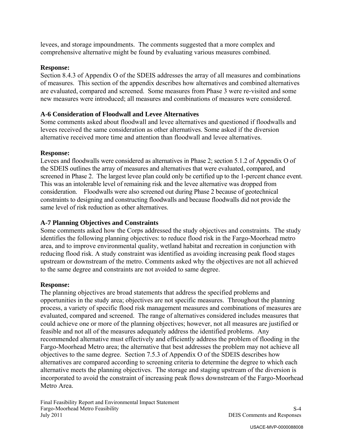levees, and storage impoundments. The comments suggested that a more complex and comprehensive alternative might be found by evaluating various measures combined.

#### **Response:**

Section 8.4.3 of Appendix O of the SDEIS addresses the array of all measures and combinations of measures. This section of the appendix describes how alternatives and combined alternatives are evaluated, compared and screened. Some measures from Phase 3 were re-visited and some new measures were introduced; all measures and combinations of measures were considered.

# **A-6 Consideration of Floodwall and Levee Alternatives**

Some comments asked about floodwall and levee alternatives and questioned if floodwalls and levees received the same consideration as other alternatives. Some asked if the diversion alternative received more time and attention than floodwall and levee alternatives.

#### **Response:**

Levees and floodwalls were considered as alternatives in Phase 2; section 5.1.2 of Appendix O of the SDEIS outlines the array of measures and alternatives that were evaluated, compared, and screened in Phase 2. The largest levee plan could only be certified up to the 1-percent chance event. This was an intolerable level of remaining risk and the levee alternative was dropped from consideration. Floodwalls were also screened out during Phase 2 because of geotechnical constraints to designing and constructing floodwalls and because floodwalls did not provide the same level of risk reduction as other alternatives.

# **A-7 Planning Objectives and Constraints**

Some comments asked how the Corps addressed the study objectives and constraints. The study identifies the following planning objectives: to reduce flood risk in the Fargo-Moorhead metro area, and to improve environmental quality, wetland habitat and recreation in conjunction with reducing flood risk. A study constraint was identified as avoiding increasing peak flood stages upstream or downstream of the metro. Comments asked why the objectives are not all achieved to the same degree and constraints are not avoided to same degree.

#### **Response:**

The planning objectives are broad statements that address the specified problems and opportunities in the study area; objectives are not specific measures. Throughout the planning process, a variety of specific flood risk management measures and combinations of measures are evaluated, compared and screened. The range of alternatives considered includes measures that could achieve one or more of the planning objectives; however, not all measures are justified or feasible and not all of the measures adequately address the identified problems. Any recommended alternative must effectively and efficiently address the problem of flooding in the Fargo-Moorhead Metro area; the alternative that best addresses the problem may not achieve all objectives to the same degree. Section 7.5.3 of Appendix O of the SDEIS describes how alternatives are compared according to screening criteria to determine the degree to which each alternative meets the planning objectives. The storage and staging upstream of the diversion is incorporated to avoid the constraint of increasing peak flows downstream of the Fargo-Moorhead Metro Area.

Final Feasibility Report and Environmental Impact Statement Fargo-Moorhead Metro Feasibility July 2011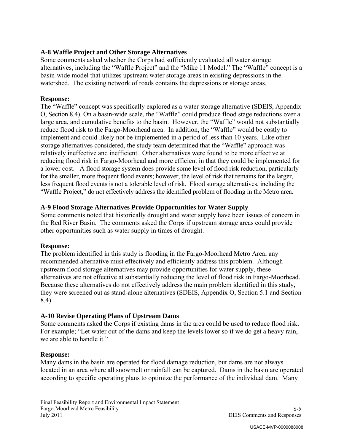# **A-8 Waffle Project and Other Storage Alternatives**

Some comments asked whether the Corps had sufficiently evaluated all water storage alternatives, including the "Waffle Project" and the "Mike 11 Model." The "Waffle" concept is a basin-wide model that utilizes upstream water storage areas in existing depressions in the watershed. The existing network of roads contains the depressions or storage areas.

# **Response:**

The "Waffle" concept was specifically explored as a water storage alternative (SDEIS, Appendix O, Section 8.4). On a basin-wide scale, the "Waffle" could produce flood stage reductions over a large area, and cumulative benefits to the basin. However, the "Waffle" would not substantially reduce flood risk to the Fargo-Moorhead area. In addition, the "Waffle" would be costly to implement and could likely not be implemented in a period of less than 10 years. Like other storage alternatives considered, the study team determined that the "Waffle" approach was relatively ineffective and inefficient. Other alternatives were found to be more effective at reducing flood risk in Fargo-Moorhead and more efficient in that they could be implemented for a lower cost. A flood storage system does provide some level of flood risk reduction, particularly for the smaller, more frequent flood events; however, the level of risk that remains for the larger, less frequent flood events is not a tolerable level of risk. Flood storage alternatives, including the "Waffle Project," do not effectively address the identified problem of flooding in the Metro area.

# **A-9 Flood Storage Alternatives Provide Opportunities for Water Supply**

Some comments noted that historically drought and water supply have been issues of concern in the Red River Basin. The comments asked the Corps if upstream storage areas could provide other opportunities such as water supply in times of drought.

# **Response:**

The problem identified in this study is flooding in the Fargo-Moorhead Metro Area; any recommended alternative must effectively and efficiently address this problem. Although upstream flood storage alternatives may provide opportunities for water supply, these alternatives are not effective at substantially reducing the level of flood risk in Fargo-Moorhead. Because these alternatives do not effectively address the main problem identified in this study, they were screened out as stand-alone alternatives (SDEIS, Appendix O, Section 5.1 and Section 8.4).

# **A-10 Revise Operating Plans of Upstream Dams**

Some comments asked the Corps if existing dams in the area could be used to reduce flood risk. For example; "Let water out of the dams and keep the levels lower so if we do get a heavy rain, we are able to handle it."

# **Response:**

Many dams in the basin are operated for flood damage reduction, but dams are not always located in an area where all snowmelt or rainfall can be captured. Dams in the basin are operated according to specific operating plans to optimize the performance of the individual dam. Many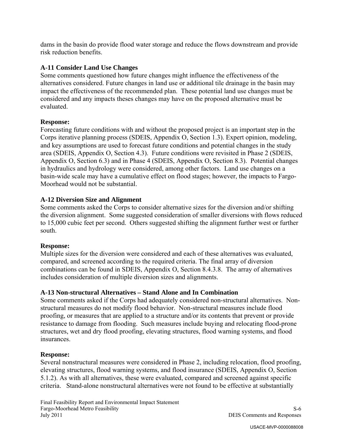dams in the basin do provide flood water storage and reduce the flows downstream and provide risk reduction benefits.

# **A-11 Consider Land Use Changes**

Some comments questioned how future changes might influence the effectiveness of the alternatives considered. Future changes in land use or additional tile drainage in the basin may impact the effectiveness of the recommended plan. These potential land use changes must be considered and any impacts theses changes may have on the proposed alternative must be evaluated.

# **Response:**

Forecasting future conditions with and without the proposed project is an important step in the Corps iterative planning process (SDEIS, Appendix O, Section 1.3). Expert opinion, modeling, and key assumptions are used to forecast future conditions and potential changes in the study area (SDEIS, Appendix O, Section 4.3). Future conditions were revisited in Phase 2 (SDEIS, Appendix O, Section 6.3) and in Phase 4 (SDEIS, Appendix O, Section 8.3). Potential changes in hydraulics and hydrology were considered, among other factors. Land use changes on a basin-wide scale may have a cumulative effect on flood stages; however, the impacts to Fargo-Moorhead would not be substantial.

# **A-12 Diversion Size and Alignment**

Some comments asked the Corps to consider alternative sizes for the diversion and/or shifting the diversion alignment. Some suggested consideration of smaller diversions with flows reduced to 15,000 cubic feet per second. Others suggested shifting the alignment further west or further south.

# **Response:**

Multiple sizes for the diversion were considered and each of these alternatives was evaluated, compared, and screened according to the required criteria. The final array of diversion combinations can be found in SDEIS, Appendix O, Section 8.4.3.8. The array of alternatives includes consideration of multiple diversion sizes and alignments.

# **A-13 Non-structural Alternatives – Stand Alone and In Combination**

Some comments asked if the Corps had adequately considered non-structural alternatives. Nonstructural measures do not modify flood behavior. Non-structural measures include flood proofing, or measures that are applied to a structure and/or its contents that prevent or provide resistance to damage from flooding. Such measures include buying and relocating flood-prone structures, wet and dry flood proofing, elevating structures, flood warning systems, and flood insurances.

#### **Response:**

Several nonstructural measures were considered in Phase 2, including relocation, flood proofing, elevating structures, flood warning systems, and flood insurance (SDEIS, Appendix O, Section 5.1.2). As with all alternatives, these were evaluated, compared and screened against specific criteria. Stand-alone nonstructural alternatives were not found to be effective at substantially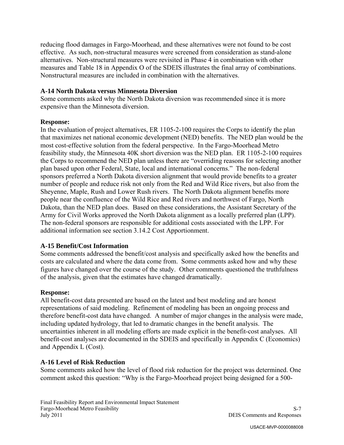reducing flood damages in Fargo-Moorhead, and these alternatives were not found to be cost effective. As such, non-structural measures were screened from consideration as stand-alone alternatives. Non-structural measures were revisited in Phase 4 in combination with other measures and Table 18 in Appendix O of the SDEIS illustrates the final array of combinations. Nonstructural measures are included in combination with the alternatives.

## **A-14 North Dakota versus Minnesota Diversion**

Some comments asked why the North Dakota diversion was recommended since it is more expensive than the Minnesota diversion.

#### **Response:**

In the evaluation of project alternatives, ER 1105-2-100 requires the Corps to identify the plan that maximizes net national economic development (NED) benefits. The NED plan would be the most cost-effective solution from the federal perspective. In the Fargo-Moorhead Metro feasibility study, the Minnesota 40K short diversion was the NED plan. ER 1105-2-100 requires the Corps to recommend the NED plan unless there are "overriding reasons for selecting another plan based upon other Federal, State, local and international concerns." The non-federal sponsors preferred a North Dakota diversion alignment that would provide benefits to a greater number of people and reduce risk not only from the Red and Wild Rice rivers, but also from the Sheyenne, Maple, Rush and Lower Rush rivers. The North Dakota alignment benefits more people near the confluence of the Wild Rice and Red rivers and northwest of Fargo, North Dakota, than the NED plan does. Based on these considerations, the Assistant Secretary of the Army for Civil Works approved the North Dakota alignment as a locally preferred plan (LPP). The non-federal sponsors are responsible for additional costs associated with the LPP. For additional information see section 3.14.2 Cost Apportionment.

# **A-15 Benefit/Cost Information**

Some comments addressed the benefit/cost analysis and specifically asked how the benefits and costs are calculated and where the data come from. Some comments asked how and why these figures have changed over the course of the study. Other comments questioned the truthfulness of the analysis, given that the estimates have changed dramatically.

#### **Response:**

All benefit-cost data presented are based on the latest and best modeling and are honest representations of said modeling. Refinement of modeling has been an ongoing process and therefore benefit-cost data have changed. A number of major changes in the analysis were made, including updated hydrology, that led to dramatic changes in the benefit analysis. The uncertainties inherent in all modeling efforts are made explicit in the benefit-cost analyses. All benefit-cost analyses are documented in the SDEIS and specifically in Appendix C (Economics) and Appendix L (Cost).

#### **A-16 Level of Risk Reduction**

Some comments asked how the level of flood risk reduction for the project was determined. One comment asked this question: "Why is the Fargo-Moorhead project being designed for a 500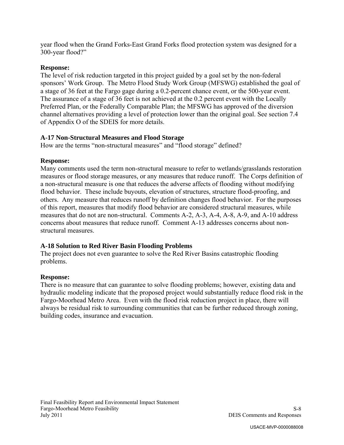year flood when the Grand Forks-East Grand Forks flood protection system was designed for a 300-year flood?"

# **Response:**

The level of risk reduction targeted in this project guided by a goal set by the non-federal sponsors' Work Group. The Metro Flood Study Work Group (MFSWG) established the goal of a stage of 36 feet at the Fargo gage during a 0.2-percent chance event, or the 500-year event. The assurance of a stage of 36 feet is not achieved at the 0.2 percent event with the Locally Preferred Plan, or the Federally Comparable Plan; the MFSWG has approved of the diversion channel alternatives providing a level of protection lower than the original goal. See section 7.4 of Appendix O of the SDEIS for more details.

# **A-17 Non-Structural Measures and Flood Storage**

How are the terms "non-structural measures" and "flood storage" defined?

# **Response:**

Many comments used the term non-structural measure to refer to wetlands/grasslands restoration measures or flood storage measures, or any measures that reduce runoff. The Corps definition of a non-structural measure is one that reduces the adverse affects of flooding without modifying flood behavior. These include buyouts, elevation of structures, structure flood-proofing, and others. Any measure that reduces runoff by definition changes flood behavior. For the purposes of this report, measures that modify flood behavior are considered structural measures, while measures that do not are non-structural. Comments A-2, A-3, A-4, A-8, A-9, and A-10 address concerns about measures that reduce runoff. Comment A-13 addresses concerns about nonstructural measures.

# **A-18 Solution to Red River Basin Flooding Problems**

The project does not even guarantee to solve the Red River Basins catastrophic flooding problems.

# **Response:**

There is no measure that can guarantee to solve flooding problems; however, existing data and hydraulic modeling indicate that the proposed project would substantially reduce flood risk in the Fargo-Moorhead Metro Area. Even with the flood risk reduction project in place, there will always be residual risk to surrounding communities that can be further reduced through zoning, building codes, insurance and evacuation.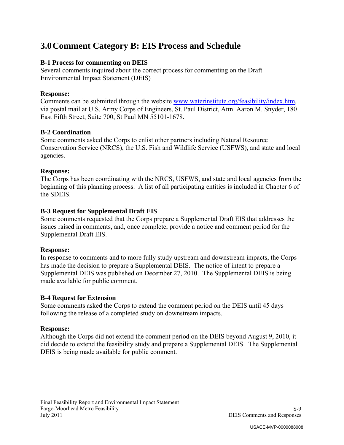# **3.0Comment Category B: EIS Process and Schedule**

# **B-1 Process for commenting on DEIS**

Several comments inquired about the correct process for commenting on the Draft Environmental Impact Statement (DEIS)

# **Response:**

Comments can be submitted through the website www.waterinstitute.org/feasibility/index.htm, via postal mail at U.S. Army Corps of Engineers, St. Paul District, Attn. Aaron M. Snyder, 180 East Fifth Street, Suite 700, St Paul MN 55101-1678.

# **B-2 Coordination**

Some comments asked the Corps to enlist other partners including Natural Resource Conservation Service (NRCS), the U.S. Fish and Wildlife Service (USFWS), and state and local agencies*.* 

# **Response:**

The Corps has been coordinating with the NRCS, USFWS, and state and local agencies from the beginning of this planning process. A list of all participating entities is included in Chapter 6 of the SDEIS.

# **B-3 Request for Supplemental Draft EIS**

Some comments requested that the Corps prepare a Supplemental Draft EIS that addresses the issues raised in comments, and, once complete, provide a notice and comment period for the Supplemental Draft EIS.

# **Response:**

In response to comments and to more fully study upstream and downstream impacts, the Corps has made the decision to prepare a Supplemental DEIS. The notice of intent to prepare a Supplemental DEIS was published on December 27, 2010. The Supplemental DEIS is being made available for public comment.

# **B-4 Request for Extension**

Some comments asked the Corps to extend the comment period on the DEIS until 45 days following the release of a completed study on downstream impacts.

# **Response:**

Although the Corps did not extend the comment period on the DEIS beyond August 9, 2010, it did decide to extend the feasibility study and prepare a Supplemental DEIS. The Supplemental DEIS is being made available for public comment.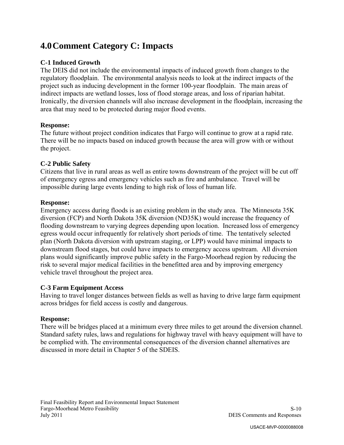# **4.0Comment Category C: Impacts**

# **C-1 Induced Growth**

The DEIS did not include the environmental impacts of induced growth from changes to the regulatory floodplain. The environmental analysis needs to look at the indirect impacts of the project such as inducing development in the former 100-year floodplain. The main areas of indirect impacts are wetland losses, loss of flood storage areas, and loss of riparian habitat. Ironically, the diversion channels will also increase development in the floodplain, increasing the area that may need to be protected during major flood events.

# **Response:**

The future without project condition indicates that Fargo will continue to grow at a rapid rate. There will be no impacts based on induced growth because the area will grow with or without the project.

# **C-2 Public Safety**

Citizens that live in rural areas as well as entire towns downstream of the project will be cut off of emergency egress and emergency vehicles such as fire and ambulance. Travel will be impossible during large events lending to high risk of loss of human life.

# **Response:**

Emergency access during floods is an existing problem in the study area. The Minnesota 35K diversion (FCP) and North Dakota 35K diversion (ND35K) would increase the frequency of flooding downstream to varying degrees depending upon location. Increased loss of emergency egress would occur infrequently for relatively short periods of time. The tentatively selected plan (North Dakota diversion with upstream staging, or LPP) would have minimal impacts to downstream flood stages, but could have impacts to emergency access upstream. All diversion plans would significantly improve public safety in the Fargo-Moorhead region by reducing the risk to several major medical facilities in the benefitted area and by improving emergency vehicle travel throughout the project area.

# **C-3 Farm Equipment Access**

Having to travel longer distances between fields as well as having to drive large farm equipment across bridges for field access is costly and dangerous.

# **Response:**

There will be bridges placed at a minimum every three miles to get around the diversion channel. Standard safety rules, laws and regulations for highway travel with heavy equipment will have to be complied with. The environmental consequences of the diversion channel alternatives are discussed in more detail in Chapter 5 of the SDEIS.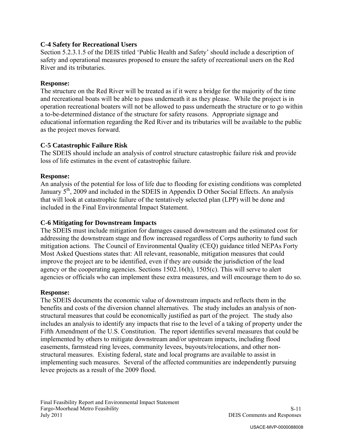# **C-4 Safety for Recreational Users**

Section 5.2.3.1.5 of the DEIS titled 'Public Health and Safety' should include a description of safety and operational measures proposed to ensure the safety of recreational users on the Red River and its tributaries.

# **Response:**

The structure on the Red River will be treated as if it were a bridge for the majority of the time and recreational boats will be able to pass underneath it as they please. While the project is in operation recreational boaters will not be allowed to pass underneath the structure or to go within a to-be-determined distance of the structure for safety reasons. Appropriate signage and educational information regarding the Red River and its tributaries will be available to the public as the project moves forward.

# **C-5 Catastrophic Failure Risk**

The SDEIS should include an analysis of control structure catastrophic failure risk and provide loss of life estimates in the event of catastrophic failure.

# **Response:**

An analysis of the potential for loss of life due to flooding for existing conditions was completed January 5<sup>th</sup>, 2009 and included in the SDEIS in Appendix D Other Social Effects. An analysis that will look at catastrophic failure of the tentatively selected plan (LPP) will be done and included in the Final Environmental Impact Statement.

# **C-6 Mitigating for Downstream Impacts**

The SDEIS must include mitigation for damages caused downstream and the estimated cost for addressing the downstream stage and flow increased regardless of Corps authority to fund such mitigation actions. The Council of Environmental Quality (CEQ) guidance titled NEPAs Forty Most Asked Questions states that: All relevant, reasonable, mitigation measures that could improve the project are to be identified, even if they are outside the jurisdiction of the lead agency or the cooperating agencies. Sections 1502.16(h), 1505(c). This will serve to alert agencies or officials who can implement these extra measures, and will encourage them to do so.

# **Response:**

The SDEIS documents the economic value of downstream impacts and reflects them in the benefits and costs of the diversion channel alternatives. The study includes an analysis of nonstructural measures that could be economically justified as part of the project. The study also includes an analysis to identify any impacts that rise to the level of a taking of property under the Fifth Amendment of the U.S. Constitution. The report identifies several measures that could be implemented by others to mitigate downstream and/or upstream impacts, including flood easements, farmstead ring levees, community levees, buyouts/relocations, and other nonstructural measures. Existing federal, state and local programs are available to assist in implementing such measures. Several of the affected communities are independently pursuing levee projects as a result of the 2009 flood.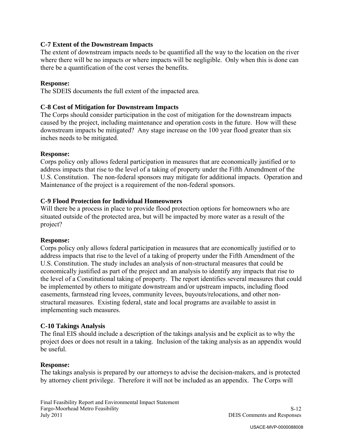# **C-7 Extent of the Downstream Impacts**

The extent of downstream impacts needs to be quantified all the way to the location on the river where there will be no impacts or where impacts will be negligible. Only when this is done can there be a quantification of the cost verses the benefits.

## **Response:**

The SDEIS documents the full extent of the impacted area.

#### **C-8 Cost of Mitigation for Downstream Impacts**

The Corps should consider participation in the cost of mitigation for the downstream impacts caused by the project, including maintenance and operation costs in the future. How will these downstream impacts be mitigated? Any stage increase on the 100 year flood greater than six inches needs to be mitigated.

#### **Response:**

Corps policy only allows federal participation in measures that are economically justified or to address impacts that rise to the level of a taking of property under the Fifth Amendment of the U.S. Constitution. The non-federal sponsors may mitigate for additional impacts. Operation and Maintenance of the project is a requirement of the non-federal sponsors.

#### **C-9 Flood Protection for Individual Homeowners**

Will there be a process in place to provide flood protection options for homeowners who are situated outside of the protected area, but will be impacted by more water as a result of the project?

#### **Response:**

Corps policy only allows federal participation in measures that are economically justified or to address impacts that rise to the level of a taking of property under the Fifth Amendment of the U.S. Constitution. The study includes an analysis of non-structural measures that could be economically justified as part of the project and an analysis to identify any impacts that rise to the level of a Constitutional taking of property. The report identifies several measures that could be implemented by others to mitigate downstream and/or upstream impacts, including flood easements, farmstead ring levees, community levees, buyouts/relocations, and other nonstructural measures. Existing federal, state and local programs are available to assist in implementing such measures.

#### **C-10 Takings Analysis**

The final EIS should include a description of the takings analysis and be explicit as to why the project does or does not result in a taking. Inclusion of the taking analysis as an appendix would be useful.

#### **Response:**

The takings analysis is prepared by our attorneys to advise the decision-makers, and is protected by attorney client privilege. Therefore it will not be included as an appendix. The Corps will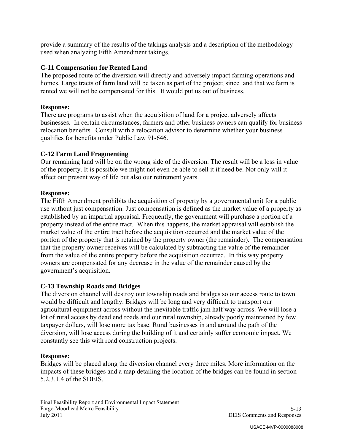provide a summary of the results of the takings analysis and a description of the methodology used when analyzing Fifth Amendment takings.

# **C-11 Compensation for Rented Land**

The proposed route of the diversion will directly and adversely impact farming operations and homes. Large tracts of farm land will be taken as part of the project; since land that we farm is rented we will not be compensated for this. It would put us out of business.

# **Response:**

There are programs to assist when the acquisition of land for a project adversely affects businesses. In certain circumstances, farmers and other business owners can qualify for business relocation benefits. Consult with a relocation advisor to determine whether your business qualifies for benefits under Public Law 91-646.

# **C-12 Farm Land Fragmenting**

Our remaining land will be on the wrong side of the diversion. The result will be a loss in value of the property. It is possible we might not even be able to sell it if need be. Not only will it affect our present way of life but also our retirement years.

# **Response:**

The Fifth Amendment prohibits the acquisition of property by a governmental unit for a public use without just compensation. Just compensation is defined as the market value of a property as established by an impartial appraisal. Frequently, the government will purchase a portion of a property instead of the entire tract. When this happens, the market appraisal will establish the market value of the entire tract before the acquisition occurred and the market value of the portion of the property that is retained by the property owner (the remainder). The compensation that the property owner receives will be calculated by subtracting the value of the remainder from the value of the entire property before the acquisition occurred. In this way property owners are compensated for any decrease in the value of the remainder caused by the government's acquisition.

# **C-13 Township Roads and Bridges**

The diversion channel will destroy our township roads and bridges so our access route to town would be difficult and lengthy. Bridges will be long and very difficult to transport our agricultural equipment across without the inevitable traffic jam half way across. We will lose a lot of rural access by dead end roads and our rural township, already poorly maintained by few taxpayer dollars, will lose more tax base. Rural businesses in and around the path of the diversion, will lose access during the building of it and certainly suffer economic impact. We constantly see this with road construction projects.

# **Response:**

Bridges will be placed along the diversion channel every three miles. More information on the impacts of these bridges and a map detailing the location of the bridges can be found in section 5.2.3.1.4 of the SDEIS.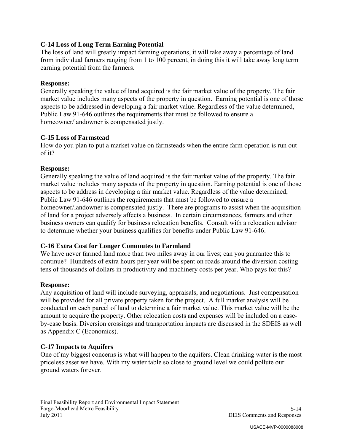# **C-14 Loss of Long Term Earning Potential**

The loss of land will greatly impact farming operations, it will take away a percentage of land from individual farmers ranging from 1 to 100 percent, in doing this it will take away long term earning potential from the farmers.

# **Response:**

Generally speaking the value of land acquired is the fair market value of the property. The fair market value includes many aspects of the property in question. Earning potential is one of those aspects to be addressed in developing a fair market value. Regardless of the value determined, Public Law 91-646 outlines the requirements that must be followed to ensure a homeowner/landowner is compensated justly.

# **C-15 Loss of Farmstead**

How do you plan to put a market value on farmsteads when the entire farm operation is run out of it?

# **Response:**

Generally speaking the value of land acquired is the fair market value of the property. The fair market value includes many aspects of the property in question. Earning potential is one of those aspects to be address in developing a fair market value. Regardless of the value determined, Public Law 91-646 outlines the requirements that must be followed to ensure a homeowner/landowner is compensated justly. There are programs to assist when the acquisition of land for a project adversely affects a business. In certain circumstances, farmers and other business owners can qualify for business relocation benefits. Consult with a relocation advisor to determine whether your business qualifies for benefits under Public Law 91-646.

# **C-16 Extra Cost for Longer Commutes to Farmland**

We have never farmed land more than two miles away in our lives; can you guarantee this to continue? Hundreds of extra hours per year will be spent on roads around the diversion costing tens of thousands of dollars in productivity and machinery costs per year. Who pays for this?

# **Response:**

Any acquisition of land will include surveying, appraisals, and negotiations. Just compensation will be provided for all private property taken for the project. A full market analysis will be conducted on each parcel of land to determine a fair market value. This market value will be the amount to acquire the property. Other relocation costs and expenses will be included on a caseby-case basis. Diversion crossings and transportation impacts are discussed in the SDEIS as well as Appendix C (Economics).

# **C-17 Impacts to Aquifers**

One of my biggest concerns is what will happen to the aquifers. Clean drinking water is the most priceless asset we have. With my water table so close to ground level we could pollute our ground waters forever.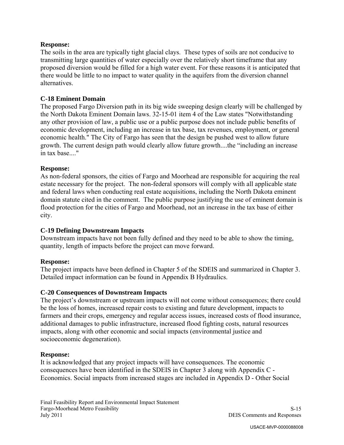The soils in the area are typically tight glacial clays. These types of soils are not conducive to transmitting large quantities of water especially over the relatively short timeframe that any proposed diversion would be filled for a high water event. For these reasons it is anticipated that there would be little to no impact to water quality in the aquifers from the diversion channel alternatives.

## **C-18 Eminent Domain**

The proposed Fargo Diversion path in its big wide sweeping design clearly will be challenged by the North Dakota Eminent Domain laws. 32-15-01 item 4 of the Law states "Notwithstanding any other provision of law, a public use or a public purpose does not include public benefits of economic development, including an increase in tax base, tax revenues, employment, or general economic health." The City of Fargo has seen that the design be pushed west to allow future growth. The current design path would clearly allow future growth....the "including an increase in tax base..."

#### **Response:**

As non-federal sponsors, the cities of Fargo and Moorhead are responsible for acquiring the real estate necessary for the project. The non-federal sponsors will comply with all applicable state and federal laws when conducting real estate acquisitions, including the North Dakota eminent domain statute cited in the comment. The public purpose justifying the use of eminent domain is flood protection for the cities of Fargo and Moorhead, not an increase in the tax base of either city.

# **C-19 Defining Downstream Impacts**

Downstream impacts have not been fully defined and they need to be able to show the timing, quantity, length of impacts before the project can move forward.

#### **Response:**

The project impacts have been defined in Chapter 5 of the SDEIS and summarized in Chapter 3. Detailed impact information can be found in Appendix B Hydraulics.

#### **C-20 Consequences of Downstream Impacts**

The project's downstream or upstream impacts will not come without consequences; there could be the loss of homes, increased repair costs to existing and future development, impacts to farmers and their crops, emergency and regular access issues, increased costs of flood insurance, additional damages to public infrastructure, increased flood fighting costs, natural resources impacts, along with other economic and social impacts (environmental justice and socioeconomic degeneration).

#### **Response:**

It is acknowledged that any project impacts will have consequences. The economic consequences have been identified in the SDEIS in Chapter 3 along with Appendix C - Economics. Social impacts from increased stages are included in Appendix D - Other Social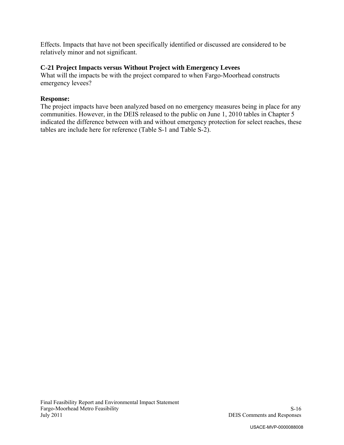Effects. Impacts that have not been specifically identified or discussed are considered to be relatively minor and not significant.

# **C-21 Project Impacts versus Without Project with Emergency Levees**

What will the impacts be with the project compared to when Fargo-Moorhead constructs emergency levees?

# **Response:**

The project impacts have been analyzed based on no emergency measures being in place for any communities. However, in the DEIS released to the public on June 1, 2010 tables in Chapter 5 indicated the difference between with and without emergency protection for select reaches, these tables are include here for reference (Table S-1 and Table S-2).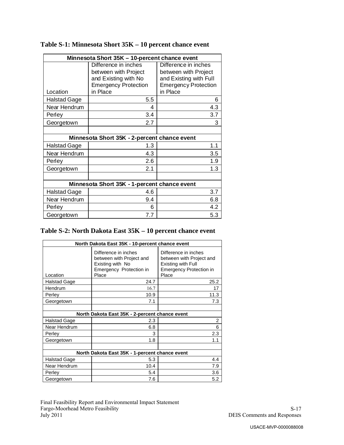| Minnesota Short 35K - 10-percent chance event |                                                                                                                        |                                                                                                                        |  |  |  |  |
|-----------------------------------------------|------------------------------------------------------------------------------------------------------------------------|------------------------------------------------------------------------------------------------------------------------|--|--|--|--|
| Location<br><b>Halstad Gage</b>               | Difference in inches<br>between with Project<br>and Existing with No<br><b>Emergency Protection</b><br>in Place<br>5.5 | Difference in inches<br>between with Project<br>and Existing with Full<br><b>Emergency Protection</b><br>in Place<br>6 |  |  |  |  |
| Near Hendrum                                  | 4                                                                                                                      | 4.3                                                                                                                    |  |  |  |  |
| Perley                                        | 3.4                                                                                                                    | 3.7                                                                                                                    |  |  |  |  |
| Georgetown                                    | 2.7                                                                                                                    | 3                                                                                                                      |  |  |  |  |
|                                               |                                                                                                                        |                                                                                                                        |  |  |  |  |
|                                               | Minnesota Short 35K - 2-percent chance event                                                                           |                                                                                                                        |  |  |  |  |
| <b>Halstad Gage</b>                           | 1.3                                                                                                                    | 1.1                                                                                                                    |  |  |  |  |
| Near Hendrum                                  | 4.3                                                                                                                    | 3.5                                                                                                                    |  |  |  |  |
| Perley                                        | 2.6                                                                                                                    | 1.9                                                                                                                    |  |  |  |  |
| Georgetown                                    | 2.1                                                                                                                    | 1.3                                                                                                                    |  |  |  |  |
|                                               |                                                                                                                        |                                                                                                                        |  |  |  |  |
| Minnesota Short 35K - 1-percent chance event  |                                                                                                                        |                                                                                                                        |  |  |  |  |
| <b>Halstad Gage</b>                           | 4.6                                                                                                                    | 3.7                                                                                                                    |  |  |  |  |
| Near Hendrum                                  | 9.4                                                                                                                    | 6.8                                                                                                                    |  |  |  |  |
| Perley                                        | 6                                                                                                                      | 4.2                                                                                                                    |  |  |  |  |
| Georgetown                                    | 7.7                                                                                                                    | 5.3                                                                                                                    |  |  |  |  |

# **Table S-1: Minnesota Short 35K – 10 percent chance event**

| Table S-2: North Dakota East 35K – 10 percent chance event |  |
|------------------------------------------------------------|--|
|------------------------------------------------------------|--|

| North Dakota East 35K - 10-percent chance event |                                                                                                          |                                                                                                                   |  |  |  |
|-------------------------------------------------|----------------------------------------------------------------------------------------------------------|-------------------------------------------------------------------------------------------------------------------|--|--|--|
| Location                                        | Difference in inches<br>between with Project and<br>Existing with No<br>Emergency Protection in<br>Place | Difference in inches<br>between with Project and<br>Existing with Full<br><b>Emergency Protection in</b><br>Place |  |  |  |
| Halstad Gage                                    | 24.7                                                                                                     | 25.2                                                                                                              |  |  |  |
| Hendrum                                         | 16.7                                                                                                     | 17                                                                                                                |  |  |  |
| Perley                                          | 10.9                                                                                                     | 11.3                                                                                                              |  |  |  |
| Georgetown                                      | 7.1                                                                                                      | 7.3                                                                                                               |  |  |  |
|                                                 |                                                                                                          |                                                                                                                   |  |  |  |
| North Dakota East 35K - 2-percent chance event  |                                                                                                          |                                                                                                                   |  |  |  |
| <b>Halstad Gage</b>                             | 2.3                                                                                                      | 2                                                                                                                 |  |  |  |
| Near Hendrum                                    | 6.8                                                                                                      | 6                                                                                                                 |  |  |  |
| Perley                                          | 3                                                                                                        | 2.3                                                                                                               |  |  |  |
| Georgetown                                      | 1.8                                                                                                      | 1.1                                                                                                               |  |  |  |
|                                                 |                                                                                                          |                                                                                                                   |  |  |  |
| North Dakota East 35K - 1-percent chance event  |                                                                                                          |                                                                                                                   |  |  |  |
| <b>Halstad Gage</b>                             | 5.3                                                                                                      | 4.4                                                                                                               |  |  |  |
| Near Hendrum                                    | 10.4                                                                                                     | 7.9                                                                                                               |  |  |  |
| Perley                                          | 5.4                                                                                                      | 3.6                                                                                                               |  |  |  |
| Georgetown                                      | 7.6                                                                                                      | 5.2                                                                                                               |  |  |  |

Final Feasibility Report and Environmental Impact Statement Fargo-Moorhead Metro Feasibility July 2011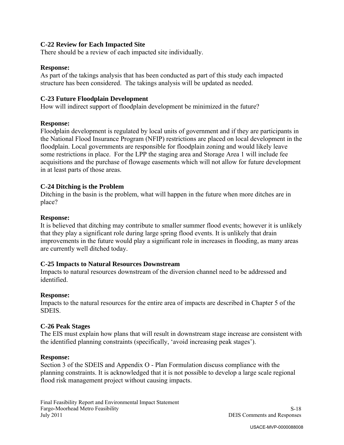## **C-22 Review for Each Impacted Site**

There should be a review of each impacted site individually.

#### **Response:**

As part of the takings analysis that has been conducted as part of this study each impacted structure has been considered. The takings analysis will be updated as needed.

#### **C-23 Future Floodplain Development**

How will indirect support of floodplain development be minimized in the future?

#### **Response:**

Floodplain development is regulated by local units of government and if they are participants in the National Flood Insurance Program (NFIP) restrictions are placed on local development in the floodplain. Local governments are responsible for floodplain zoning and would likely leave some restrictions in place. For the LPP the staging area and Storage Area 1 will include fee acquisitions and the purchase of flowage easements which will not allow for future development in at least parts of those areas.

#### **C-24 Ditching is the Problem**

Ditching in the basin is the problem, what will happen in the future when more ditches are in place?

#### **Response:**

It is believed that ditching may contribute to smaller summer flood events; however it is unlikely that they play a significant role during large spring flood events. It is unlikely that drain improvements in the future would play a significant role in increases in flooding, as many areas are currently well ditched today.

# **C-25 Impacts to Natural Resources Downstream**

Impacts to natural resources downstream of the diversion channel need to be addressed and identified.

#### **Response:**

Impacts to the natural resources for the entire area of impacts are described in Chapter 5 of the SDEIS.

#### **C-26 Peak Stages**

The EIS must explain how plans that will result in downstream stage increase are consistent with the identified planning constraints (specifically, 'avoid increasing peak stages').

#### **Response:**

Section 3 of the SDEIS and Appendix O - Plan Formulation discuss compliance with the planning constraints. It is acknowledged that it is not possible to develop a large scale regional flood risk management project without causing impacts.

Final Feasibility Report and Environmental Impact Statement Fargo-Moorhead Metro Feasibility July 2011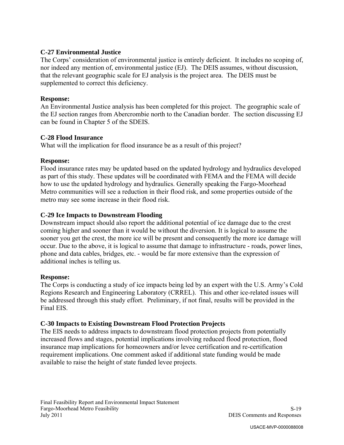# **C-27 Environmental Justice**

The Corps' consideration of environmental justice is entirely deficient. It includes no scoping of, nor indeed any mention of, environmental justice (EJ). The DEIS assumes, without discussion, that the relevant geographic scale for EJ analysis is the project area. The DEIS must be supplemented to correct this deficiency.

# **Response:**

An Environmental Justice analysis has been completed for this project. The geographic scale of the EJ section ranges from Abercrombie north to the Canadian border. The section discussing EJ can be found in Chapter 5 of the SDEIS.

# **C-28 Flood Insurance**

What will the implication for flood insurance be as a result of this project?

# **Response:**

Flood insurance rates may be updated based on the updated hydrology and hydraulics developed as part of this study. These updates will be coordinated with FEMA and the FEMA will decide how to use the updated hydrology and hydraulics. Generally speaking the Fargo-Moorhead Metro communities will see a reduction in their flood risk, and some properties outside of the metro may see some increase in their flood risk.

# **C-29 Ice Impacts to Downstream Flooding**

Downstream impact should also report the additional potential of ice damage due to the crest coming higher and sooner than it would be without the diversion. It is logical to assume the sooner you get the crest, the more ice will be present and consequently the more ice damage will occur. Due to the above, it is logical to assume that damage to infrastructure - roads, power lines, phone and data cables, bridges, etc. - would be far more extensive than the expression of additional inches is telling us.

# **Response:**

The Corps is conducting a study of ice impacts being led by an expert with the U.S. Army's Cold Regions Research and Engineering Laboratory (CRREL). This and other ice-related issues will be addressed through this study effort. Preliminary, if not final, results will be provided in the Final EIS.

# **C-30 Impacts to Existing Downstream Flood Protection Projects**

The EIS needs to address impacts to downstream flood protection projects from potentially increased flows and stages, potential implications involving reduced flood protection, flood insurance map implications for homeowners and/or levee certification and re-certification requirement implications. One comment asked if additional state funding would be made available to raise the height of state funded levee projects.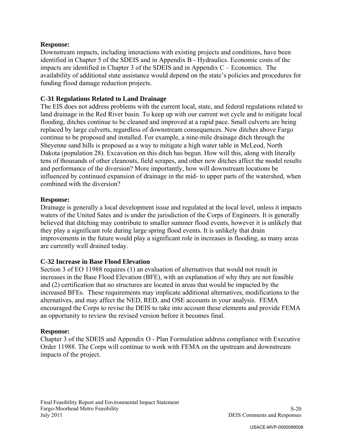Downstream impacts, including interactions with existing projects and conditions, have been identified in Chapter 5 of the SDEIS and in Appendix B - Hydraulics. Economic costs of the impacts are identified in Chapter 3 of the SDEIS and in Appendix C – Economics. The availability of additional state assistance would depend on the state's policies and procedures for funding flood damage reduction projects.

# **C-31 Regulations Related to Land Drainage**

The EIS does not address problems with the current local, state, and federal regulations related to land drainage in the Red River basin. To keep up with our current wet cycle and to mitigate local flooding, ditches continue to be cleaned and improved at a rapid pace. Small culverts are being replaced by large culverts, regardless of downstream consequences. New ditches above Fargo continue to be proposed and installed. For example, a nine-mile drainage ditch through the Sheyenne sand hills is proposed as a way to mitigate a high water table in McLeod, North Dakota (population 28). Excavation on this ditch has begun. How will this, along with literally tens of thousands of other cleanouts, field scrapes, and other new ditches affect the model results and performance of the diversion? More importantly, how will downstream locations be influenced by continued expansion of drainage in the mid- to upper parts of the watershed, when combined with the diversion?

#### **Response:**

Drainage is generally a local development issue and regulated at the local level, unless it impacts waters of the United Sates and is under the jurisdiction of the Corps of Engineers. It is generally believed that ditching may contribute to smaller summer flood events, however it is unlikely that they play a significant role during large spring flood events. It is unlikely that drain improvements in the future would play a significant role in increases in flooding, as many areas are currently well drained today.

# **C-32 Increase in Base Flood Elevation**

Section 3 of EO 11988 requires (1) an evaluation of alternatives that would not result in increases in the Base Flood Elevation (BFE), with an explanation of why they are not feasible and (2) certification that no structures are located in areas that would be impacted by the increased BFEs. These requirements may implicate additional alternatives, modifications to the alternatives, and may affect the NED, RED, and OSE accounts in your analysis. FEMA encouraged the Corps to revise the DEIS to take into account these elements and provide FEMA an opportunity to review the revised version before it becomes final.

#### **Response:**

Chapter 3 of the SDEIS and Appendix O - Plan Formulation address compliance with Executive Order 11988. The Corps will continue to work with FEMA on the upstream and downstream impacts of the project.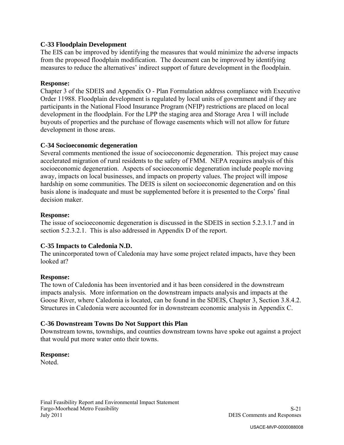# **C-33 Floodplain Development**

The EIS can be improved by identifying the measures that would minimize the adverse impacts from the proposed floodplain modification. The document can be improved by identifying measures to reduce the alternatives' indirect support of future development in the floodplain.

#### **Response:**

Chapter 3 of the SDEIS and Appendix O - Plan Formulation address compliance with Executive Order 11988. Floodplain development is regulated by local units of government and if they are participants in the National Flood Insurance Program (NFIP) restrictions are placed on local development in the floodplain. For the LPP the staging area and Storage Area 1 will include buyouts of properties and the purchase of flowage easements which will not allow for future development in those areas.

#### **C-34 Socioeconomic degeneration**

Several comments mentioned the issue of socioeconomic degeneration. This project may cause accelerated migration of rural residents to the safety of FMM. NEPA requires analysis of this socioeconomic degeneration. Aspects of socioeconomic degeneration include people moving away, impacts on local businesses, and impacts on property values. The project will impose hardship on some communities. The DEIS is silent on socioeconomic degeneration and on this basis alone is inadequate and must be supplemented before it is presented to the Corps' final decision maker.

#### **Response:**

The issue of socioeconomic degeneration is discussed in the SDEIS in section 5.2.3.1.7 and in section 5.2.3.2.1. This is also addressed in Appendix D of the report.

#### **C-35 Impacts to Caledonia N.D.**

The unincorporated town of Caledonia may have some project related impacts, have they been looked at?

#### **Response:**

The town of Caledonia has been inventoried and it has been considered in the downstream impacts analysis. More information on the downstream impacts analysis and impacts at the Goose River, where Caledonia is located, can be found in the SDEIS, Chapter 3, Section 3.8.4.2. Structures in Caledonia were accounted for in downstream economic analysis in Appendix C.

#### **C-36 Downstream Towns Do Not Support this Plan**

Downstream towns, townships, and counties downstream towns have spoke out against a project that would put more water onto their towns.

#### **Response:**

Noted.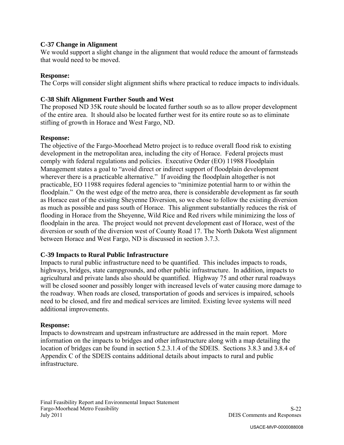## **C-37 Change in Alignment**

We would support a slight change in the alignment that would reduce the amount of farmsteads that would need to be moved.

#### **Response:**

The Corps will consider slight alignment shifts where practical to reduce impacts to individuals.

#### **C-38 Shift Alignment Further South and West**

The proposed ND 35K route should be located further south so as to allow proper development of the entire area. It should also be located further west for its entire route so as to eliminate stifling of growth in Horace and West Fargo, ND.

#### **Response:**

The objective of the Fargo-Moorhead Metro project is to reduce overall flood risk to existing development in the metropolitan area, including the city of Horace. Federal projects must comply with federal regulations and policies. Executive Order (EO) 11988 Floodplain Management states a goal to "avoid direct or indirect support of floodplain development wherever there is a practicable alternative." If avoiding the floodplain altogether is not practicable, EO 11988 requires federal agencies to "minimize potential harm to or within the floodplain." On the west edge of the metro area, there is considerable development as far south as Horace east of the existing Sheyenne Diversion, so we chose to follow the existing diversion as much as possible and pass south of Horace. This alignment substantially reduces the risk of flooding in Horace from the Sheyenne, Wild Rice and Red rivers while minimizing the loss of floodplain in the area. The project would not prevent development east of Horace, west of the diversion or south of the diversion west of County Road 17. The North Dakota West alignment between Horace and West Fargo, ND is discussed in section 3.7.3.

# **C-39 Impacts to Rural Public Infrastructure**

Impacts to rural public infrastructure need to be quantified. This includes impacts to roads, highways, bridges, state campgrounds, and other public infrastructure. In addition, impacts to agricultural and private lands also should be quantified. Highway 75 and other rural roadways will be closed sooner and possibly longer with increased levels of water causing more damage to the roadway. When roads are closed, transportation of goods and services is impaired, schools need to be closed, and fire and medical services are limited. Existing levee systems will need additional improvements.

#### **Response:**

Impacts to downstream and upstream infrastructure are addressed in the main report. More information on the impacts to bridges and other infrastructure along with a map detailing the location of bridges can be found in section 5.2.3.1.4 of the SDEIS. Sections 3.8.3 and 3.8.4 of Appendix C of the SDEIS contains additional details about impacts to rural and public infrastructure.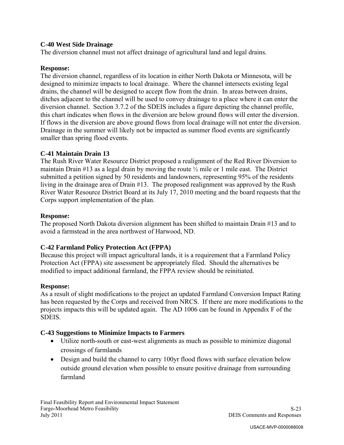# **C-40 West Side Drainage**

The diversion channel must not affect drainage of agricultural land and legal drains.

# **Response:**

The diversion channel, regardless of its location in either North Dakota or Minnesota, will be designed to minimize impacts to local drainage. Where the channel intersects existing legal drains, the channel will be designed to accept flow from the drain. In areas between drains, ditches adjacent to the channel will be used to convey drainage to a place where it can enter the diversion channel. Section 3.7.2 of the SDEIS includes a figure depicting the channel profile, this chart indicates when flows in the diversion are below ground flows will enter the diversion. If flows in the diversion are above ground flows from local drainage will not enter the diversion. Drainage in the summer will likely not be impacted as summer flood events are significantly smaller than spring flood events.

# **C-41 Maintain Drain 13**

The Rush River Water Resource District proposed a realignment of the Red River Diversion to maintain Drain #13 as a legal drain by moving the route ½ mile or 1 mile east. The District submitted a petition signed by 50 residents and landowners, representing 95% of the residents living in the drainage area of Drain #13. The proposed realignment was approved by the Rush River Water Resource District Board at its July 17, 2010 meeting and the board requests that the Corps support implementation of the plan.

# **Response:**

The proposed North Dakota diversion alignment has been shifted to maintain Drain #13 and to avoid a farmstead in the area northwest of Harwood, ND.

# **C-42 Farmland Policy Protection Act (FPPA)**

Because this project will impact agricultural lands, it is a requirement that a Farmland Policy Protection Act (FPPA) site assessment be appropriately filed. Should the alternatives be modified to impact additional farmland, the FPPA review should be reinitiated.

# **Response:**

As a result of slight modifications to the project an updated Farmland Conversion Impact Rating has been requested by the Corps and received from NRCS. If there are more modifications to the projects impacts this will be updated again. The AD 1006 can be found in Appendix F of the **SDEIS** 

# **C-43 Suggestions to Minimize Impacts to Farmers**

- Utilize north-south or east-west alignments as much as possible to minimize diagonal crossings of farmlands
- Design and build the channel to carry 100yr flood flows with surface elevation below outside ground elevation when possible to ensure positive drainage from surrounding farmland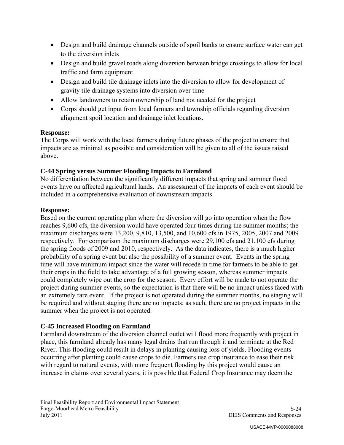- Design and build drainage channels outside of spoil banks to ensure surface water can get to the diversion inlets
- Design and build gravel roads along diversion between bridge crossings to allow for local traffic and farm equipment
- Design and build tile drainage inlets into the diversion to allow for development of gravity tile drainage systems into diversion over time
- Allow landowners to retain ownership of land not needed for the project
- Corps should get input from local farmers and township officials regarding diversion alignment spoil location and drainage inlet locations.

The Corps will work with the local farmers during future phases of the project to ensure that impacts are as minimal as possible and consideration will be given to all of the issues raised above.

# **C-44 Spring versus Summer Flooding Impacts to Farmland**

No differentiation between the significantly different impacts that spring and summer flood events have on affected agricultural lands. An assessment of the impacts of each event should be included in a comprehensive evaluation of downstream impacts.

# **Response:**

Based on the current operating plan where the diversion will go into operation when the flow reaches 9,600 cfs, the diversion would have operated four times during the summer months; the maximum discharges were 13,200, 9,810, 13,500, and 10,600 cfs in 1975, 2005, 2007 and 2009 respectively. For comparison the maximum discharges were 29,100 cfs and 21,100 cfs during the spring floods of 2009 and 2010, respectively. As the data indicates, there is a much higher probability of a spring event but also the possibility of a summer event. Events in the spring time will have minimum impact since the water will recede in time for farmers to be able to get their crops in the field to take advantage of a full growing season, whereas summer impacts could completely wipe out the crop for the season. Every effort will be made to not operate the project during summer events, so the expectation is that there will be no impact unless faced with an extremely rare event. If the project is not operated during the summer months, no staging will be required and without staging there are no impacts; as such, there are no project impacts in the summer when the project is not operated.

# **C-45 Increased Flooding on Farmland**

Farmland downstream of the diversion channel outlet will flood more frequently with project in place, this farmland already has many legal drains that run through it and terminate at the Red River. This flooding could result in delays in planting causing loss of yields. Flooding events occurring after planting could cause crops to die. Farmers use crop insurance to ease their risk with regard to natural events, with more frequent flooding by this project would cause an increase in claims over several years, it is possible that Federal Crop Insurance may deem the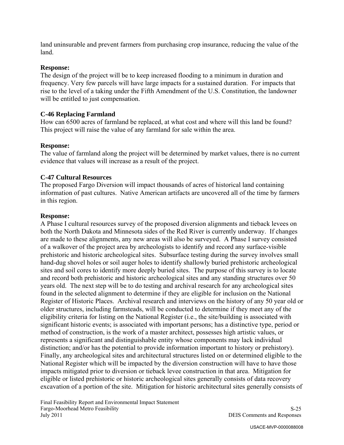land uninsurable and prevent farmers from purchasing crop insurance, reducing the value of the land.

#### **Response:**

The design of the project will be to keep increased flooding to a minimum in duration and frequency. Very few parcels will have large impacts for a sustained duration. For impacts that rise to the level of a taking under the Fifth Amendment of the U.S. Constitution, the landowner will be entitled to just compensation.

# **C-46 Replacing Farmland**

How can 6500 acres of farmland be replaced, at what cost and where will this land be found? This project will raise the value of any farmland for sale within the area.

# **Response:**

The value of farmland along the project will be determined by market values, there is no current evidence that values will increase as a result of the project.

# **C-47 Cultural Resources**

The proposed Fargo Diversion will impact thousands of acres of historical land containing information of past cultures. Native American artifacts are uncovered all of the time by farmers in this region.

#### **Response:**

A Phase I cultural resources survey of the proposed diversion alignments and tieback levees on both the North Dakota and Minnesota sides of the Red River is currently underway. If changes are made to these alignments, any new areas will also be surveyed. A Phase I survey consisted of a walkover of the project area by archeologists to identify and record any surface-visible prehistoric and historic archeological sites. Subsurface testing during the survey involves small hand-dug shovel holes or soil auger holes to identify shallowly buried prehistoric archeological sites and soil cores to identify more deeply buried sites. The purpose of this survey is to locate and record both prehistoric and historic archeological sites and any standing structures over 50 years old. The next step will be to do testing and archival research for any archeological sites found in the selected alignment to determine if they are eligible for inclusion on the National Register of Historic Places. Archival research and interviews on the history of any 50 year old or older structures, including farmsteads, will be conducted to determine if they meet any of the eligibility criteria for listing on the National Register (i.e., the site/building is associated with significant historic events; is associated with important persons; has a distinctive type, period or method of construction, is the work of a master architect, possesses high artistic values, or represents a significant and distinguishable entity whose components may lack individual distinction; and/or has the potential to provide information important to history or prehistory). Finally, any archeological sites and architectural structures listed on or determined eligible to the National Register which will be impacted by the diversion construction will have to have those impacts mitigated prior to diversion or tieback levee construction in that area. Mitigation for eligible or listed prehistoric or historic archeological sites generally consists of data recovery excavation of a portion of the site. Mitigation for historic architectural sites generally consists of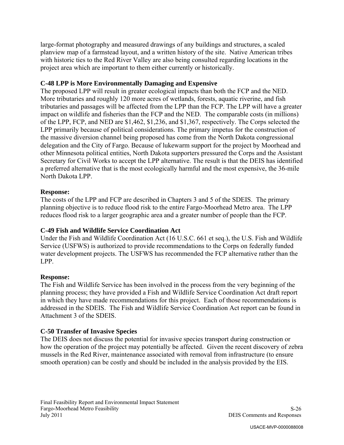large-format photography and measured drawings of any buildings and structures, a scaled planview map of a farmstead layout, and a written history of the site. Native American tribes with historic ties to the Red River Valley are also being consulted regarding locations in the project area which are important to them either currently or historically.

# **C-48 LPP is More Environmentally Damaging and Expensive**

The proposed LPP will result in greater ecological impacts than both the FCP and the NED. More tributaries and roughly 120 more acres of wetlands, forests, aquatic riverine, and fish tributaries and passages will be affected from the LPP than the FCP. The LPP will have a greater impact on wildlife and fisheries than the FCP and the NED. The comparable costs (in millions) of the LPP, FCP, and NED are \$1,462, \$1,236, and \$1,367, respectively. The Corps selected the LPP primarily because of political considerations. The primary impetus for the construction of the massive diversion channel being proposed has come from the North Dakota congressional delegation and the City of Fargo. Because of lukewarm support for the project by Moorhead and other Minnesota political entities, North Dakota supporters pressured the Corps and the Assistant Secretary for Civil Works to accept the LPP alternative. The result is that the DEIS has identified a preferred alternative that is the most ecologically harmful and the most expensive, the 36-mile North Dakota LPP.

# **Response:**

The costs of the LPP and FCP are described in Chapters 3 and 5 of the SDEIS. The primary planning objective is to reduce flood risk to the entire Fargo-Moorhead Metro area. The LPP reduces flood risk to a larger geographic area and a greater number of people than the FCP.

# **C-49 Fish and Wildlife Service Coordination Act**

Under the Fish and Wildlife Coordination Act (16 U.S.C. 661 et seq.), the U.S. Fish and Wildlife Service (USFWS) is authorized to provide recommendations to the Corps on federally funded water development projects. The USFWS has recommended the FCP alternative rather than the LPP.

# **Response:**

The Fish and Wildlife Service has been involved in the process from the very beginning of the planning process; they have provided a Fish and Wildlife Service Coordination Act draft report in which they have made recommendations for this project. Each of those recommendations is addressed in the SDEIS. The Fish and Wildlife Service Coordination Act report can be found in Attachment 3 of the SDEIS.

# **C-50 Transfer of Invasive Species**

The DEIS does not discuss the potential for invasive species transport during construction or how the operation of the project may potentially be affected. Given the recent discovery of zebra mussels in the Red River, maintenance associated with removal from infrastructure (to ensure smooth operation) can be costly and should be included in the analysis provided by the EIS.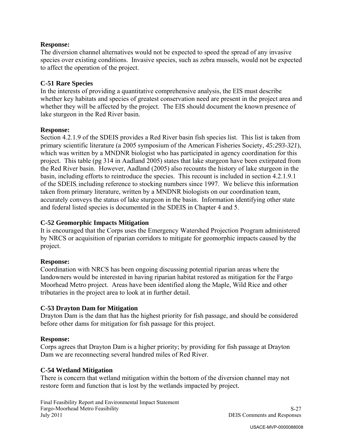The diversion channel alternatives would not be expected to speed the spread of any invasive species over existing conditions. Invasive species, such as zebra mussels, would not be expected to affect the operation of the project.

## **C-51 Rare Species**

In the interests of providing a quantitative comprehensive analysis, the EIS must describe whether key habitats and species of greatest conservation need are present in the project area and whether they will be affected by the project. The EIS should document the known presence of lake sturgeon in the Red River basin.

#### **Response:**

Section 4.2.1.9 of the SDEIS provides a Red River basin fish species list. This list is taken from primary scientific literature (a 2005 symposium of the American Fisheries Society, *45:293-321*), which was written by a MNDNR biologist who has participated in agency coordination for this project. This table (pg 314 in Aadland 2005) states that lake sturgeon have been extirpated from the Red River basin. However, Aadland (2005) also recounts the history of lake sturgeon in the basin, including efforts to reintroduce the species. This recount is included in section 4.2.1.9.1 of the SDEIS, including reference to stocking numbers since 1997. We believe this information taken from primary literature, written by a MNDNR biologists on our coordination team, accurately conveys the status of lake sturgeon in the basin. Information identifying other state and federal listed species is documented in the SDEIS in Chapter 4 and 5.

## **C-52 Geomorphic Impacts Mitigation**

It is encouraged that the Corps uses the Emergency Watershed Projection Program administered by NRCS or acquisition of riparian corridors to mitigate for geomorphic impacts caused by the project.

#### **Response:**

Coordination with NRCS has been ongoing discussing potential riparian areas where the landowners would be interested in having riparian habitat restored as mitigation for the Fargo Moorhead Metro project. Areas have been identified along the Maple, Wild Rice and other tributaries in the project area to look at in further detail.

# **C-53 Drayton Dam for Mitigation**

Drayton Dam is the dam that has the highest priority for fish passage, and should be considered before other dams for mitigation for fish passage for this project.

#### **Response:**

Corps agrees that Drayton Dam is a higher priority; by providing for fish passage at Drayton Dam we are reconnecting several hundred miles of Red River.

#### **C-54 Wetland Mitigation**

There is concern that wetland mitigation within the bottom of the diversion channel may not restore form and function that is lost by the wetlands impacted by project.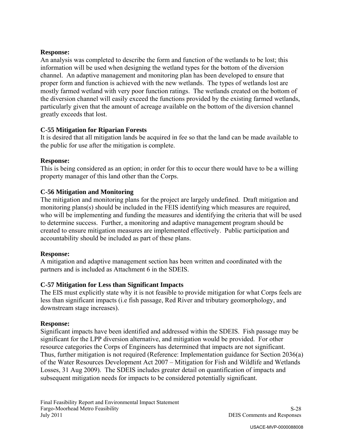An analysis was completed to describe the form and function of the wetlands to be lost; this information will be used when designing the wetland types for the bottom of the diversion channel. An adaptive management and monitoring plan has been developed to ensure that proper form and function is achieved with the new wetlands. The types of wetlands lost are mostly farmed wetland with very poor function ratings. The wetlands created on the bottom of the diversion channel will easily exceed the functions provided by the existing farmed wetlands, particularly given that the amount of acreage available on the bottom of the diversion channel greatly exceeds that lost.

# **C-55 Mitigation for Riparian Forests**

It is desired that all mitigation lands be acquired in fee so that the land can be made available to the public for use after the mitigation is complete.

#### **Response:**

This is being considered as an option; in order for this to occur there would have to be a willing property manager of this land other than the Corps.

# **C-56 Mitigation and Monitoring**

The mitigation and monitoring plans for the project are largely undefined. Draft mitigation and monitoring plans(s) should be included in the FEIS identifying which measures are required, who will be implementing and funding the measures and identifying the criteria that will be used to determine success. Further, a monitoring and adaptive management program should be created to ensure mitigation measures are implemented effectively. Public participation and accountability should be included as part of these plans.

#### **Response:**

A mitigation and adaptive management section has been written and coordinated with the partners and is included as Attachment 6 in the SDEIS.

# **C-57 Mitigation for Less than Significant Impacts**

The EIS must explicitly state why it is not feasible to provide mitigation for what Corps feels are less than significant impacts (i.e fish passage, Red River and tributary geomorphology, and downstream stage increases).

#### **Response:**

Significant impacts have been identified and addressed within the SDEIS. Fish passage may be significant for the LPP diversion alternative, and mitigation would be provided. For other resource categories the Corps of Engineers has determined that impacts are not significant. Thus, further mitigation is not required (Reference: Implementation guidance for Section 2036(a) of the Water Resources Development Act 2007 – Mitigation for Fish and Wildlife and Wetlands Losses, 31 Aug 2009). The SDEIS includes greater detail on quantification of impacts and subsequent mitigation needs for impacts to be considered potentially significant.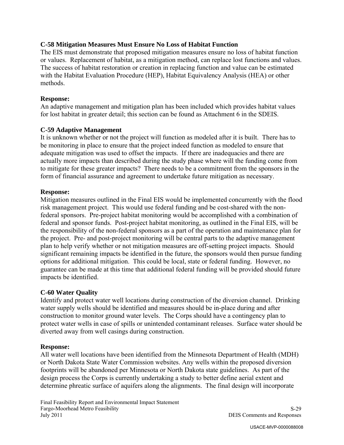# **C-58 Mitigation Measures Must Ensure No Loss of Habitat Function**

The EIS must demonstrate that proposed mitigation measures ensure no loss of habitat function or values. Replacement of habitat, as a mitigation method, can replace lost functions and values. The success of habitat restoration or creation in replacing function and value can be estimated with the Habitat Evaluation Procedure (HEP), Habitat Equivalency Analysis (HEA) or other methods.

# **Response:**

An adaptive management and mitigation plan has been included which provides habitat values for lost habitat in greater detail; this section can be found as Attachment 6 in the SDEIS.

# **C-59 Adaptive Management**

It is unknown whether or not the project will function as modeled after it is built. There has to be monitoring in place to ensure that the project indeed function as modeled to ensure that adequate mitigation was used to offset the impacts. If there are inadequacies and there are actually more impacts than described during the study phase where will the funding come from to mitigate for these greater impacts? There needs to be a commitment from the sponsors in the form of financial assurance and agreement to undertake future mitigation as necessary.

# **Response:**

Mitigation measures outlined in the Final EIS would be implemented concurrently with the flood risk management project. This would use federal funding and be cost-shared with the nonfederal sponsors. Pre-project habitat monitoring would be accomplished with a combination of federal and sponsor funds. Post-project habitat monitoring, as outlined in the Final EIS, will be the responsibility of the non-federal sponsors as a part of the operation and maintenance plan for the project. Pre- and post-project monitoring will be central parts to the adaptive management plan to help verify whether or not mitigation measures are off-setting project impacts. Should significant remaining impacts be identified in the future, the sponsors would then pursue funding options for additional mitigation. This could be local, state or federal funding. However, no guarantee can be made at this time that additional federal funding will be provided should future impacts be identified.

# **C-60 Water Quality**

Identify and protect water well locations during construction of the diversion channel.Drinking water supply wells should be identified and measures should be in-place during and after construction to monitor ground water levels. The Corps should have a contingency plan to protect water wells in case of spills or unintended contaminant releases. Surface water should be diverted away from well casings during construction.

# **Response:**

All water well locations have been identified from the Minnesota Department of Health (MDH) or North Dakota State Water Commission websites. Any wells within the proposed diversion footprints will be abandoned per Minnesota or North Dakota state guidelines. As part of the design process the Corps is currently undertaking a study to better define aerial extent and determine phreatic surface of aquifers along the alignments. The final design will incorporate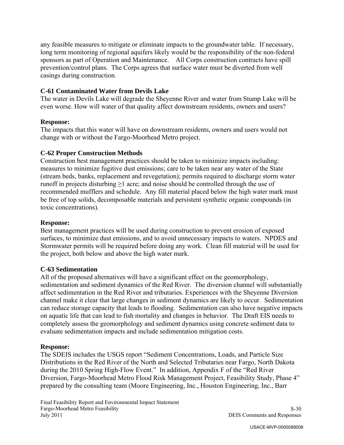any feasible measures to mitigate or eliminate impacts to the groundwater table. If necessary, long term monitoring of regional aquifers likely would be the responsibility of the non-federal sponsors as part of Operation and Maintenance. All Corps construction contracts have spill prevention/control plans. The Corps agrees that surface water must be diverted from well casings during construction.

# **C-61 Contaminated Water from Devils Lake**

The water in Devils Lake will degrade the Sheyenne River and water from Stump Lake will be even worse. How will water of that quality affect downstream residents, owners and users?

# **Response:**

The impacts that this water will have on downstream residents, owners and users would not change with or without the Fargo-Moorhead Metro project.

# **C-62 Proper Construction Methods**

Construction best management practices should be taken to minimize impacts including: measures to minimize fugitive dust emissions; care to be taken near any water of the State (stream beds, banks, replacement and revegetation); permits required to discharge storm water runoff in projects disturbing ≥1 acre; and noise should be controlled through the use of recommended mufflers and schedule. Any fill material placed below the high water mark must be free of top solids, decomposable materials and persistent synthetic organic compounds (in toxic concentrations).

# **Response:**

Best management practices will be used during construction to prevent erosion of exposed surfaces, to minimize dust emissions, and to avoid unnecessary impacts to waters. NPDES and Stormwater permits will be required before doing any work. Clean fill material will be used for the project, both below and above the high water mark.

# **C-63 Sedimentation**

All of the proposed alternatives will have a significant effect on the geomorphology, sedimentation and sediment dynamics of the Red River. The diversion channel will substantially affect sedimentation in the Red River and tributaries. Experiences with the Sheyenne Diversion channel make it clear that large changes in sediment dynamics are likely to occur. Sedimentation can reduce storage capacity that leads to flooding. Sedimentation can also have negative impacts on aquatic life that can lead to fish mortality and changes in behavior. The Draft EIS needs to completely assess the geomorphology and sediment dynamics using concrete sediment data to evaluate sedimentation impacts and include sedimentation mitigation costs.

# **Response:**

The SDEIS includes the USGS report "Sediment Concentrations, Loads, and Particle Size Distributions in the Red River of the North and Selected Tributaries near Fargo, North Dakota during the 2010 Spring High-Flow Event." In addition, Appendix F of the "Red River Diversion, Fargo-Moorhead Metro Flood Risk Management Project, Feasibility Study, Phase 4" prepared by the consulting team (Moore Engineering, Inc., Houston Engineering, Inc., Barr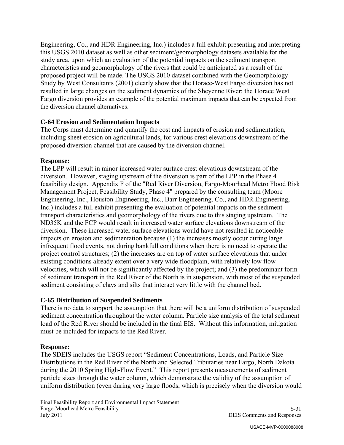Engineering, Co., and HDR Engineering, Inc.) includes a full exhibit presenting and interpreting this USGS 2010 dataset as well as other sediment/geomorphology datasets available for the study area, upon which an evaluation of the potential impacts on the sediment transport characteristics and geomorphology of the rivers that could be anticipated as a result of the proposed project will be made. The USGS 2010 dataset combined with the Geomorphology Study by West Consultants (2001) clearly show that the Horace-West Fargo diversion has not resulted in large changes on the sediment dynamics of the Sheyenne River; the Horace West Fargo diversion provides an example of the potential maximum impacts that can be expected from the diversion channel alternatives.

# **C-64 Erosion and Sedimentation Impacts**

The Corps must determine and quantify the cost and impacts of erosion and sedimentation, including sheet erosion on agricultural lands, for various crest elevations downstream of the proposed diversion channel that are caused by the diversion channel.

#### **Response:**

The LPP will result in minor increased water surface crest elevations downstream of the diversion. However, staging upstream of the diversion is part of the LPP in the Phase 4 feasibility design. Appendix F of the "Red River Diversion, Fargo-Moorhead Metro Flood Risk Management Project, Feasibility Study, Phase 4" prepared by the consulting team (Moore Engineering, Inc., Houston Engineering, Inc., Barr Engineering, Co., and HDR Engineering, Inc.) includes a full exhibit presenting the evaluation of potential impacts on the sediment transport characteristics and geomorphology of the rivers due to this staging upstream. The ND35K and the FCP would result in increased water surface elevations downstream of the diversion. These increased water surface elevations would have not resulted in noticeable impacts on erosion and sedimentation because (1) the increases mostly occur during large infrequent flood events, not during bankfull conditions when there is no need to operate the project control structures; (2) the increases are on top of water surface elevations that under existing conditions already extent over a very wide floodplain, with relatively low flow velocities, which will not be significantly affected by the project; and (3) the predominant form of sediment transport in the Red River of the North is in suspension, with most of the suspended sediment consisting of clays and silts that interact very little with the channel bed.

#### **C-65 Distribution of Suspended Sediments**

There is no data to support the assumption that there will be a uniform distribution of suspended sediment concentration throughout the water column. Particle size analysis of the total sediment load of the Red River should be included in the final EIS. Without this information, mitigation must be included for impacts to the Red River.

#### **Response:**

The SDEIS includes the USGS report "Sediment Concentrations, Loads, and Particle Size Distributions in the Red River of the North and Selected Tributaries near Fargo, North Dakota during the 2010 Spring High-Flow Event." This report presents measurements of sediment particle sizes through the water column, which demonstrate the validity of the assumption of uniform distribution (even during very large floods, which is precisely when the diversion would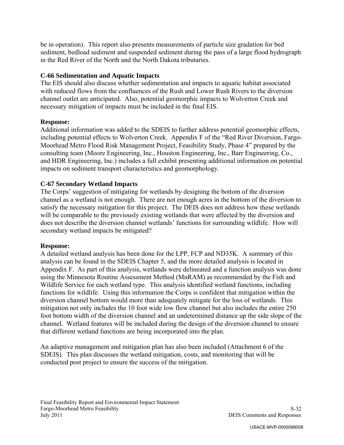be in operation). This report also presents measurements of particle size gradation for bed sediment, bedload sediment and suspended sediment during the pass of a large flood hydrograph in the Red River of the North and the North Dakota tributaries.

# **C-66 Sedimentation and Aquatic Impacts**

The EIS should also discuss whether sedimentation and impacts to aquatic habitat associated with reduced flows from the confluences of the Rush and Lower Rush Rivers to the diversion channel outlet are anticipated. Also, potential geomorphic impacts to Wolverton Creek and necessary mitigation of impacts must be included in the final EIS.

# **Response:**

Additional information was added to the SDEIS to further address potential geomorphic effects, including potential effects to Wolverton Creek. Appendix F of the "Red River Diversion, Fargo-Moorhead Metro Flood Risk Management Project, Feasibility Study, Phase 4" prepared by the consulting team (Moore Engineering, Inc., Houston Engineering, Inc., Barr Engineering, Co., and HDR Engineering, Inc.) includes a full exhibit presenting additional information on potential impacts on sediment transport characteristics and geomorphology.

# **C-67 Secondary Wetland Impacts**

The Corps' suggestion of mitigating for wetlands by designing the bottom of the diversion channel as a wetland is not enough. There are not enough acres in the bottom of the diversion to satisfy the necessary mitigation for this project.The DEIS does not address how these wetlands will be comparable to the previously existing wetlands that were affected by the diversion and does not describe the diversion channel wetlands' functions for surrounding wildlife. How will secondary wetland impacts be mitigated?

# **Response:**

A detailed wetland analysis has been done for the LPP, FCP and ND35K. A summary of this analysis can be found in the SDEIS Chapter 5, and the more detailed analysis is located in Appendix F. As part of this analysis, wetlands were delineated and a function analysis was done using the Minnesota Routine Assessment Method (MnRAM) as recommended by the Fish and Wildlife Service for each wetland type. This analysis identified wetland functions, including functions for wildlife. Using this information the Corps is confident that mitigation within the diversion channel bottom would more than adequately mitigate for the loss of wetlands. This mitigation not only includes the 10 foot wide low flow channel but also includes the entire 250 foot bottom width of the diversion channel and an undetermined distance up the side slope of the channel. Wetland features will be included during the design of the diversion channel to ensure that different wetland functions are being incorporated into the plan.

An adaptive management and mitigation plan has also been included (Attachment 6 of the SDEIS). This plan discusses the wetland mitigation, costs, and monitoring that will be conducted post project to ensure the success of the mitigation.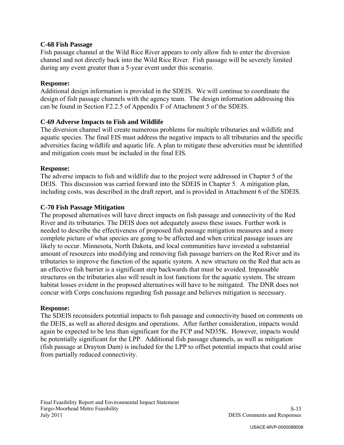#### **C-68 Fish Passage**

Fish passage channel at the Wild Rice River appears to only allow fish to enter the diversion channel and not directly back into the Wild Rice River. Fish passage will be severely limited during any event greater than a 5-year event under this scenario.

## **Response:**

Additional design information is provided in the SDEIS. We will continue to coordinate the design of fish passage channels with the agency team. The design information addressing this can be found in Section F2.2.5 of Appendix F of Attachment 5 of the SDEIS.

#### **C-69 Adverse Impacts to Fish and Wildlife**

The diversion channel will create numerous problems for multiple tributaries and wildlife and aquatic species. The final EIS must address the negative impacts to all tributaries and the specific adversities facing wildlife and aquatic life. A plan to mitigate these adversities must be identified and mitigation costs must be included in the final EIS.

#### **Response:**

The adverse impacts to fish and wildlife due to the project were addressed in Chapter 5 of the DEIS. This discussion was carried forward into the SDEIS in Chapter 5. A mitigation plan, including costs, was described in the draft report, and is provided in Attachment 6 of the SDEIS.

#### **C-70 Fish Passage Mitigation**

The proposed alternatives will have direct impacts on fish passage and connectivity of the Red River and its tributaries. The DEIS does not adequately assess these issues. Further work is needed to describe the effectiveness of proposed fish passage mitigation measures and a more complete picture of what species are going to be affected and when critical passage issues are likely to occur. Minnesota, North Dakota, and local communities have invested a substantial amount of resources into modifying and removing fish passage barriers on the Red River and its tributaries to improve the function of the aquatic system. A new structure on the Red that acts as an effective fish barrier is a significant step backwards that must be avoided. Impassable structures on the tributaries also will result in lost functions for the aquatic system. The stream habitat losses evident in the proposed alternatives will have to be mitigated. The DNR does not concur with Corps conclusions regarding fish passage and believes mitigation is necessary.

#### **Response:**

The SDEIS reconsiders potential impacts to fish passage and connectivity based on comments on the DEIS, as well as altered designs and operations. After further consideration, impacts would again be expected to be less than significant for the FCP and ND35K. However, impacts would be potentially significant for the LPP. Additional fish passage channels, as well as mitigation (fish passage at Drayton Dam) is included for the LPP to offset potential impacts that could arise from partially reduced connectivity.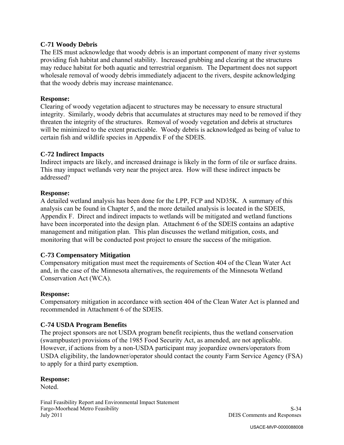#### **C-71 Woody Debris**

The EIS must acknowledge that woody debris is an important component of many river systems providing fish habitat and channel stability. Increased grubbing and clearing at the structures may reduce habitat for both aquatic and terrestrial organism. The Department does not support wholesale removal of woody debris immediately adjacent to the rivers, despite acknowledging that the woody debris may increase maintenance.

#### **Response:**

Clearing of woody vegetation adjacent to structures may be necessary to ensure structural integrity. Similarly, woody debris that accumulates at structures may need to be removed if they threaten the integrity of the structures. Removal of woody vegetation and debris at structures will be minimized to the extent practicable. Woody debris is acknowledged as being of value to certain fish and wildlife species in Appendix F of the SDEIS.

#### **C-72 Indirect Impacts**

Indirect impacts are likely, and increased drainage is likely in the form of tile or surface drains. This may impact wetlands very near the project area. How will these indirect impacts be addressed?

#### **Response:**

A detailed wetland analysis has been done for the LPP, FCP and ND35K. A summary of this analysis can be found in Chapter 5, and the more detailed analysis is located in the SDEIS, Appendix F. Direct and indirect impacts to wetlands will be mitigated and wetland functions have been incorporated into the design plan. Attachment 6 of the SDEIS contains an adaptive management and mitigation plan. This plan discusses the wetland mitigation, costs, and monitoring that will be conducted post project to ensure the success of the mitigation.

# **C-73 Compensatory Mitigation**

Compensatory mitigation must meet the requirements of Section 404 of the Clean Water Act and, in the case of the Minnesota alternatives, the requirements of the Minnesota Wetland Conservation Act (WCA).

#### **Response:**

Compensatory mitigation in accordance with section 404 of the Clean Water Act is planned and recommended in Attachment 6 of the SDEIS.

#### **C-74 USDA Program Benefits**

The project sponsors are not USDA program benefit recipients, thus the wetland conservation (swampbuster) provisions of the 1985 Food Security Act, as amended, are not applicable. However, if actions from by a non-USDA participant may jeopardize owners/operators from USDA eligibility, the landowner/operator should contact the county Farm Service Agency (FSA) to apply for a third party exemption.

#### **Response:**

Noted.

Final Feasibility Report and Environmental Impact Statement Fargo-Moorhead Metro Feasibility July 2011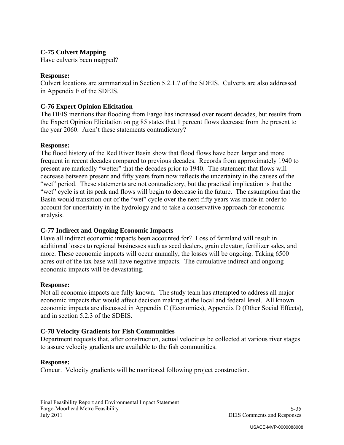# **C-75 Culvert Mapping**

Have culverts been mapped?

#### **Response:**

Culvert locations are summarized in Section 5.2.1.7 of the SDEIS. Culverts are also addressed in Appendix F of the SDEIS.

## **C-76 Expert Opinion Elicitation**

The DEIS mentions that flooding from Fargo has increased over recent decades, but results from the Expert Opinion Elicitation on pg 85 states that 1 percent flows decrease from the present to the year 2060. Aren't these statements contradictory?

#### **Response:**

The flood history of the Red River Basin show that flood flows have been larger and more frequent in recent decades compared to previous decades. Records from approximately 1940 to present are markedly "wetter" that the decades prior to 1940. The statement that flows will decrease between present and fifty years from now reflects the uncertainty in the causes of the "wet" period. These statements are not contradictory, but the practical implication is that the "wet" cycle is at its peak and flows will begin to decrease in the future. The assumption that the Basin would transition out of the "wet" cycle over the next fifty years was made in order to account for uncertainty in the hydrology and to take a conservative approach for economic analysis.

# **C-77 Indirect and Ongoing Economic Impacts**

Have all indirect economic impacts been accounted for? Loss of farmland will result in additional losses to regional businesses such as seed dealers, grain elevator, fertilizer sales, and more. These economic impacts will occur annually, the losses will be ongoing. Taking 6500 acres out of the tax base will have negative impacts. The cumulative indirect and ongoing economic impacts will be devastating.

#### **Response:**

Not all economic impacts are fully known. The study team has attempted to address all major economic impacts that would affect decision making at the local and federal level. All known economic impacts are discussed in Appendix C (Economics), Appendix D (Other Social Effects), and in section 5.2.3 of the SDEIS.

# **C-78 Velocity Gradients for Fish Communities**

Department requests that, after construction, actual velocities be collected at various river stages to assure velocity gradients are available to the fish communities.

#### **Response:**

Concur. Velocity gradients will be monitored following project construction.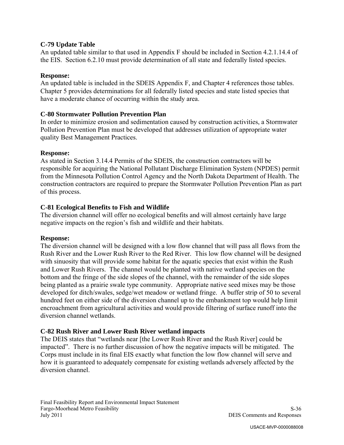# **C-79 Update Table**

An updated table similar to that used in Appendix F should be included in Section 4.2.1.14.4 of the EIS. Section 6.2.10 must provide determination of all state and federally listed species.

#### **Response:**

An updated table is included in the SDEIS Appendix F, and Chapter 4 references those tables. Chapter 5 provides determinations for all federally listed species and state listed species that have a moderate chance of occurring within the study area.

# **C-80 Stormwater Pollution Prevention Plan**

In order to minimize erosion and sedimentation caused by construction activities, a Stormwater Pollution Prevention Plan must be developed that addresses utilization of appropriate water quality Best Management Practices.

#### **Response:**

As stated in Section 3.14.4 Permits of the SDEIS, the construction contractors will be responsible for acquiring the National Pollutant Discharge Elimination System (NPDES) permit from the Minnesota Pollution Control Agency and the North Dakota Department of Health. The construction contractors are required to prepare the Stormwater Pollution Prevention Plan as part of this process.

# **C-81 Ecological Benefits to Fish and Wildlife**

The diversion channel will offer no ecological benefits and will almost certainly have large negative impacts on the region's fish and wildlife and their habitats.

#### **Response:**

The diversion channel will be designed with a low flow channel that will pass all flows from the Rush River and the Lower Rush River to the Red River. This low flow channel will be designed with sinuosity that will provide some habitat for the aquatic species that exist within the Rush and Lower Rush Rivers. The channel would be planted with native wetland species on the bottom and the fringe of the side slopes of the channel, with the remainder of the side slopes being planted as a prairie swale type community. Appropriate native seed mixes may be those developed for ditch/swales, sedge/wet meadow or wetland fringe. A buffer strip of 50 to several hundred feet on either side of the diversion channel up to the embankment top would help limit encroachment from agricultural activities and would provide filtering of surface runoff into the diversion channel wetlands.

#### **C-82 Rush River and Lower Rush River wetland impacts**

The DEIS states that "wetlands near [the Lower Rush River and the Rush River] could be impacted". There is no further discussion of how the negative impacts will be mitigated. The Corps must include in its final EIS exactly what function the low flow channel will serve and how it is guaranteed to adequately compensate for existing wetlands adversely affected by the diversion channel.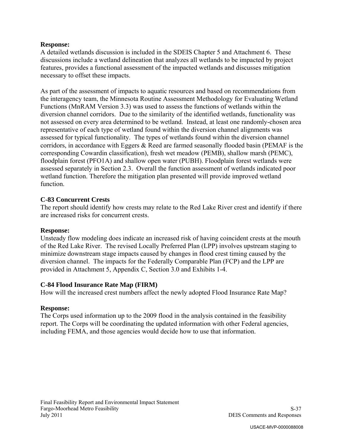A detailed wetlands discussion is included in the SDEIS Chapter 5 and Attachment 6. These discussions include a wetland delineation that analyzes all wetlands to be impacted by project features, provides a functional assessment of the impacted wetlands and discusses mitigation necessary to offset these impacts.

As part of the assessment of impacts to aquatic resources and based on recommendations from the interagency team, the Minnesota Routine Assessment Methodology for Evaluating Wetland Functions (MnRAM Version 3.3) was used to assess the functions of wetlands within the diversion channel corridors. Due to the similarity of the identified wetlands, functionality was not assessed on every area determined to be wetland. Instead, at least one randomly-chosen area representative of each type of wetland found within the diversion channel alignments was assessed for typical functionality. The types of wetlands found within the diversion channel corridors, in accordance with Eggers & Reed are farmed seasonally flooded basin (PEMAF is the corresponding Cowardin classification), fresh wet meadow (PEMB), shallow marsh (PEMC), floodplain forest (PFO1A) and shallow open water (PUBH). Floodplain forest wetlands were assessed separately in Section 2.3. Overall the function assessment of wetlands indicated poor wetland function. Therefore the mitigation plan presented will provide improved wetland function.

# **C-83 Concurrent Crests**

The report should identify how crests may relate to the Red Lake River crest and identify if there are increased risks for concurrent crests.

# **Response:**

Unsteady flow modeling does indicate an increased risk of having coincident crests at the mouth of the Red Lake River. The revised Locally Preferred Plan (LPP) involves upstream staging to minimize downstream stage impacts caused by changes in flood crest timing caused by the diversion channel. The impacts for the Federally Comparable Plan (FCP) and the LPP are provided in Attachment 5, Appendix C, Section 3.0 and Exhibits 1-4.

# **C-84 Flood Insurance Rate Map (FIRM)**

How will the increased crest numbers affect the newly adopted Flood Insurance Rate Map?

# **Response:**

The Corps used information up to the 2009 flood in the analysis contained in the feasibility report. The Corps will be coordinating the updated information with other Federal agencies, including FEMA, and those agencies would decide how to use that information.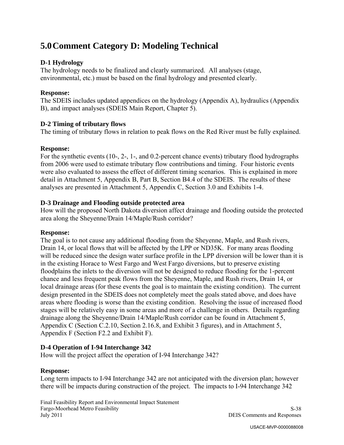# **5.0Comment Category D: Modeling Technical**

# **D-1 Hydrology**

The hydrology needs to be finalized and clearly summarized. All analyses (stage, environmental, etc.) must be based on the final hydrology and presented clearly.

# **Response:**

The SDEIS includes updated appendices on the hydrology (Appendix A), hydraulics (Appendix B), and impact analyses (SDEIS Main Report, Chapter 5).

# **D-2 Timing of tributary flows**

The timing of tributary flows in relation to peak flows on the Red River must be fully explained.

# **Response:**

For the synthetic events (10-, 2-, 1-, and 0.2-percent chance events) tributary flood hydrographs from 2006 were used to estimate tributary flow contributions and timing. Four historic events were also evaluated to assess the effect of different timing scenarios. This is explained in more detail in Attachment 5, Appendix B, Part B, Section B4.4 of the SDEIS. The results of these analyses are presented in Attachment 5, Appendix C, Section 3.0 and Exhibits 1-4.

# **D-3 Drainage and Flooding outside protected area**

How will the proposed North Dakota diversion affect drainage and flooding outside the protected area along the Sheyenne/Drain 14/Maple/Rush corridor?

# **Response:**

The goal is to not cause any additional flooding from the Sheyenne, Maple, and Rush rivers, Drain 14, or local flows that will be affected by the LPP or ND35K. For many areas flooding will be reduced since the design water surface profile in the LPP diversion will be lower than it is in the existing Horace to West Fargo and West Fargo diversions, but to preserve existing floodplains the inlets to the diversion will not be designed to reduce flooding for the 1-percent chance and less frequent peak flows from the Sheyenne, Maple, and Rush rivers, Drain 14, or local drainage areas (for these events the goal is to maintain the existing condition). The current design presented in the SDEIS does not completely meet the goals stated above, and does have areas where flooding is worse than the existing condition. Resolving the issue of increased flood stages will be relatively easy in some areas and more of a challenge in others. Details regarding drainage along the Sheyenne/Drain 14/Maple/Rush corridor can be found in Attachment 5, Appendix C (Section C.2.10, Section 2.16.8, and Exhibit 3 figures), and in Attachment 5, Appendix F (Section F2.2 and Exhibit F).

# **D-4 Operation of I-94 Interchange 342**

How will the project affect the operation of I-94 Interchange 342?

# **Response:**

Long term impacts to I-94 Interchange 342 are not anticipated with the diversion plan; however there will be impacts during construction of the project. The impacts to I-94 Interchange 342

Final Feasibility Report and Environmental Impact Statement Fargo-Moorhead Metro Feasibility July 2011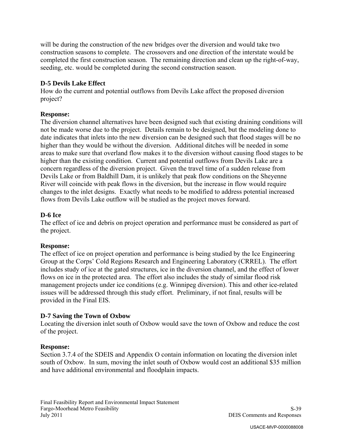will be during the construction of the new bridges over the diversion and would take two construction seasons to complete. The crossovers and one direction of the interstate would be completed the first construction season. The remaining direction and clean up the right-of-way, seeding, etc. would be completed during the second construction season.

# **D-5 Devils Lake Effect**

How do the current and potential outflows from Devils Lake affect the proposed diversion project?

# **Response:**

The diversion channel alternatives have been designed such that existing draining conditions will not be made worse due to the project. Details remain to be designed, but the modeling done to date indicates that inlets into the new diversion can be designed such that flood stages will be no higher than they would be without the diversion. Additional ditches will be needed in some areas to make sure that overland flow makes it to the diversion without causing flood stages to be higher than the existing condition. Current and potential outflows from Devils Lake are a concern regardless of the diversion project. Given the travel time of a sudden release from Devils Lake or from Baldhill Dam, it is unlikely that peak flow conditions on the Sheyenne River will coincide with peak flows in the diversion, but the increase in flow would require changes to the inlet designs. Exactly what needs to be modified to address potential increased flows from Devils Lake outflow will be studied as the project moves forward.

# **D-6 Ice**

The effect of ice and debris on project operation and performance must be considered as part of the project.

# **Response:**

The effect of ice on project operation and performance is being studied by the Ice Engineering Group at the Corps' Cold Regions Research and Engineering Laboratory (CRREL). The effort includes study of ice at the gated structures, ice in the diversion channel, and the effect of lower flows on ice in the protected area. The effort also includes the study of similar flood risk management projects under ice conditions (e.g. Winnipeg diversion). This and other ice-related issues will be addressed through this study effort. Preliminary, if not final, results will be provided in the Final EIS.

# **D-7 Saving the Town of Oxbow**

Locating the diversion inlet south of Oxbow would save the town of Oxbow and reduce the cost of the project.

# **Response:**

Section 3.7.4 of the SDEIS and Appendix O contain information on locating the diversion inlet south of Oxbow. In sum, moving the inlet south of Oxbow would cost an additional \$35 million and have additional environmental and floodplain impacts.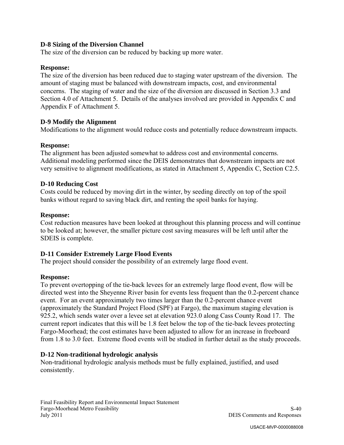# **D-8 Sizing of the Diversion Channel**

The size of the diversion can be reduced by backing up more water.

#### **Response:**

The size of the diversion has been reduced due to staging water upstream of the diversion. The amount of staging must be balanced with downstream impacts, cost, and environmental concerns. The staging of water and the size of the diversion are discussed in Section 3.3 and Section 4.0 of Attachment 5. Details of the analyses involved are provided in Appendix C and Appendix F of Attachment 5.

#### **D-9 Modify the Alignment**

Modifications to the alignment would reduce costs and potentially reduce downstream impacts.

#### **Response:**

The alignment has been adjusted somewhat to address cost and environmental concerns. Additional modeling performed since the DEIS demonstrates that downstream impacts are not very sensitive to alignment modifications, as stated in Attachment 5, Appendix C, Section C2.5.

#### **D-10 Reducing Cost**

Costs could be reduced by moving dirt in the winter, by seeding directly on top of the spoil banks without regard to saving black dirt, and renting the spoil banks for haying.

#### **Response:**

Cost reduction measures have been looked at throughout this planning process and will continue to be looked at; however, the smaller picture cost saving measures will be left until after the SDEIS is complete.

#### **D-11 Consider Extremely Large Flood Events**

The project should consider the possibility of an extremely large flood event.

#### **Response:**

To prevent overtopping of the tie-back levees for an extremely large flood event, flow will be directed west into the Sheyenne River basin for events less frequent than the 0.2-percent chance event. For an event approximately two times larger than the 0.2-percent chance event (approximately the Standard Project Flood (SPF) at Fargo), the maximum staging elevation is 925.2, which sends water over a levee set at elevation 923.0 along Cass County Road 17. The current report indicates that this will be 1.8 feet below the top of the tie-back levees protecting Fargo-Moorhead; the cost estimates have been adjusted to allow for an increase in freeboard from 1.8 to 3.0 feet. Extreme flood events will be studied in further detail as the study proceeds.

#### **D-12 Non-traditional hydrologic analysis**

Non-traditional hydrologic analysis methods must be fully explained, justified, and used consistently.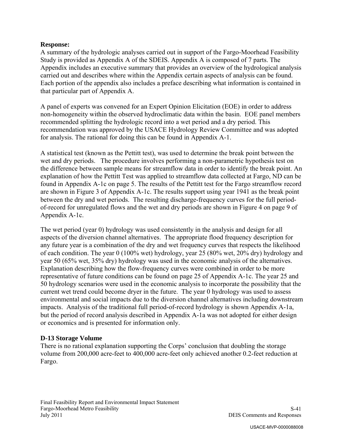A summary of the hydrologic analyses carried out in support of the Fargo-Moorhead Feasibility Study is provided as Appendix A of the SDEIS. Appendix A is composed of 7 parts. The Appendix includes an executive summary that provides an overview of the hydrological analysis carried out and describes where within the Appendix certain aspects of analysis can be found. Each portion of the appendix also includes a preface describing what information is contained in that particular part of Appendix A.

A panel of experts was convened for an Expert Opinion Elicitation (EOE) in order to address non-homogeneity within the observed hydroclimatic data within the basin. EOE panel members recommended splitting the hydrologic record into a wet period and a dry period. This recommendation was approved by the USACE Hydrology Review Committee and was adopted for analysis. The rational for doing this can be found in Appendix A-1.

A statistical test (known as the Pettitt test), was used to determine the break point between the wet and dry periods. The procedure involves performing a non-parametric hypothesis test on the difference between sample means for streamflow data in order to identify the break point. An explanation of how the Pettitt Test was applied to streamflow data collected at Fargo, ND can be found in Appendix A-1c on page 5. The results of the Pettitt test for the Fargo streamflow record are shown in Figure 3 of Appendix A-1c. The results support using year 1941 as the break point between the dry and wet periods. The resulting discharge-frequency curves for the full periodof-record for unregulated flows and the wet and dry periods are shown in Figure 4 on page 9 of Appendix A-1c.

The wet period (year 0) hydrology was used consistently in the analysis and design for all aspects of the diversion channel alternatives. The appropriate flood frequency description for any future year is a combination of the dry and wet frequency curves that respects the likelihood of each condition. The year 0 (100% wet) hydrology, year 25 (80% wet, 20% dry) hydrology and year 50 (65% wet, 35% dry) hydrology was used in the economic analysis of the alternatives. Explanation describing how the flow-frequency curves were combined in order to be more representative of future conditions can be found on page 25 of Appendix A-1c. The year 25 and 50 hydrology scenarios were used in the economic analysis to incorporate the possibility that the current wet trend could become dryer in the future. The year 0 hydrology was used to assess environmental and social impacts due to the diversion channel alternatives including downstream impacts. Analysis of the traditional full period-of-record hydrology is shown Appendix A-1a, but the period of record analysis described in Appendix A-1a was not adopted for either design or economics and is presented for information only.

# **D-13 Storage Volume**

There is no rational explanation supporting the Corps' conclusion that doubling the storage volume from 200,000 acre-feet to 400,000 acre-feet only achieved another 0.2-feet reduction at Fargo.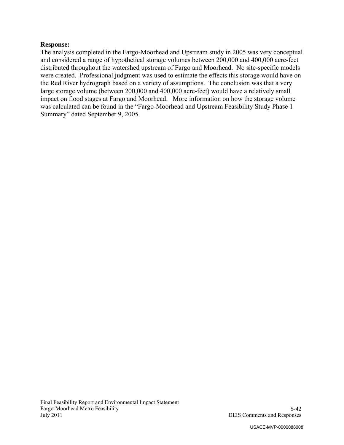The analysis completed in the Fargo-Moorhead and Upstream study in 2005 was very conceptual and considered a range of hypothetical storage volumes between 200,000 and 400,000 acre-feet distributed throughout the watershed upstream of Fargo and Moorhead. No site-specific models were created. Professional judgment was used to estimate the effects this storage would have on the Red River hydrograph based on a variety of assumptions. The conclusion was that a very large storage volume (between 200,000 and 400,000 acre-feet) would have a relatively small impact on flood stages at Fargo and Moorhead. More information on how the storage volume was calculated can be found in the "Fargo-Moorhead and Upstream Feasibility Study Phase 1 Summary" dated September 9, 2005.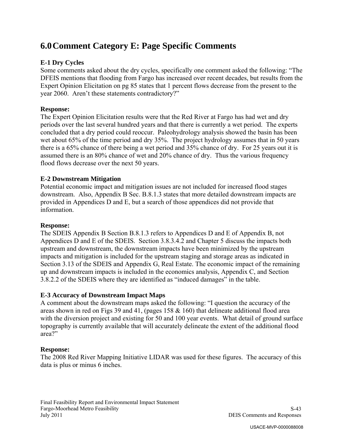# **6.0Comment Category E: Page Specific Comments**

# **E-1 Dry Cycles**

Some comments asked about the dry cycles, specifically one comment asked the following: "The DFEIS mentions that flooding from Fargo has increased over recent decades, but results from the Expert Opinion Elicitation on pg 85 states that 1 percent flows decrease from the present to the year 2060. Aren't these statements contradictory?"

# **Response:**

The Expert Opinion Elicitation results were that the Red River at Fargo has had wet and dry periods over the last several hundred years and that there is currently a wet period. The experts concluded that a dry period could reoccur. Paleohydrology analysis showed the basin has been wet about 65% of the time period and dry 35%. The project hydrology assumes that in 50 years there is a 65% chance of there being a wet period and 35% chance of dry. For 25 years out it is assumed there is an 80% chance of wet and 20% chance of dry. Thus the various frequency flood flows decrease over the next 50 years.

# **E-2 Downstream Mitigation**

Potential economic impact and mitigation issues are not included for increased flood stages downstream. Also, Appendix B Sec. B.8.1.3 states that more detailed downstream impacts are provided in Appendices D and E, but a search of those appendices did not provide that information.

# **Response:**

The SDEIS Appendix B Section B.8.1.3 refers to Appendices D and E of Appendix B, not Appendices D and E of the SDEIS. Section 3.8.3.4.2 and Chapter 5 discuss the impacts both upstream and downstream, the downstream impacts have been minimized by the upstream impacts and mitigation is included for the upstream staging and storage areas as indicated in Section 3.13 of the SDEIS and Appendix G, Real Estate. The economic impact of the remaining up and downstream impacts is included in the economics analysis, Appendix C, and Section 3.8.2.2 of the SDEIS where they are identified as "induced damages" in the table.

# **E-3 Accuracy of Downstream Impact Maps**

A comment about the downstream maps asked the following: "I question the accuracy of the areas shown in red on Figs 39 and 41, (pages 158 & 160) that delineate additional flood area with the diversion project and existing for 50 and 100 year events. What detail of ground surface topography is currently available that will accurately delineate the extent of the additional flood area?"

# **Response:**

The 2008 Red River Mapping Initiative LIDAR was used for these figures. The accuracy of this data is plus or minus 6 inches.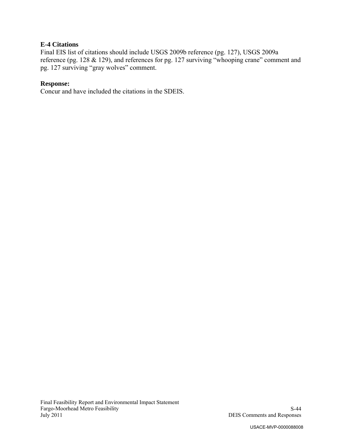# **E-4 Citations**

Final EIS list of citations should include USGS 2009b reference (pg. 127), USGS 2009a reference (pg. 128 & 129), and references for pg. 127 surviving "whooping crane" comment and pg. 127 surviving "gray wolves" comment.

#### **Response:**

Concur and have included the citations in the SDEIS.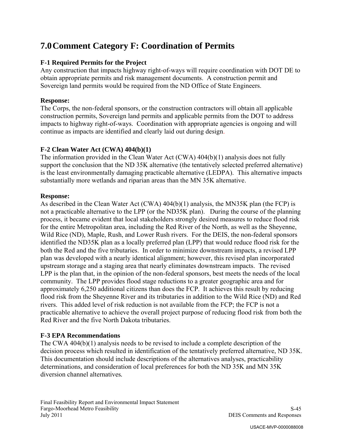# **7.0Comment Category F: Coordination of Permits**

# **F-1 Required Permits for the Project**

Any construction that impacts highway right-of-ways will require coordination with DOT DE to obtain appropriate permits and risk management documents. A construction permit and Sovereign land permits would be required from the ND Office of State Engineers.

# **Response:**

The Corps, the non-federal sponsors, or the construction contractors will obtain all applicable construction permits, Sovereign land permits and applicable permits from the DOT to address impacts to highway right-of-ways. Coordination with appropriate agencies is ongoing and will continue as impacts are identified and clearly laid out during design.

# **F-2 Clean Water Act (CWA) 404(b)(1)**

The information provided in the Clean Water Act (CWA) 404(b)(1) analysis does not fully support the conclusion that the ND 35K alternative (the tentatively selected preferred alternative) is the least environmentally damaging practicable alternative (LEDPA). This alternative impacts substantially more wetlands and riparian areas than the MN 35K alternative.

# **Response:**

As described in the Clean Water Act (CWA) 404(b)(1) analysis, the MN35K plan (the FCP) is not a practicable alternative to the LPP (or the ND35K plan). During the course of the planning process, it became evident that local stakeholders strongly desired measures to reduce flood risk for the entire Metropolitan area, including the Red River of the North, as well as the Sheyenne, Wild Rice (ND), Maple, Rush, and Lower Rush rivers. For the DEIS, the non-federal sponsors identified the ND35K plan as a locally preferred plan (LPP) that would reduce flood risk for the both the Red and the five tributaries. In order to minimize downstream impacts, a revised LPP plan was developed with a nearly identical alignment; however, this revised plan incorporated upstream storage and a staging area that nearly eliminates downstream impacts. The revised LPP is the plan that, in the opinion of the non-federal sponsors, best meets the needs of the local community. The LPP provides flood stage reductions to a greater geographic area and for approximately 6,250 additional citizens than does the FCP. It achieves this result by reducing flood risk from the Sheyenne River and its tributaries in addition to the Wild Rice (ND) and Red rivers. This added level of risk reduction is not available from the FCP; the FCP is not a practicable alternative to achieve the overall project purpose of reducing flood risk from both the Red River and the five North Dakota tributaries.

# **F-3 EPA Recommendations**

The CWA 404(b)(1) analysis needs to be revised to include a complete description of the decision process which resulted in identification of the tentatively preferred alternative, ND 35K. This documentation should include descriptions of the alternatives analyses, practicability determinations, and consideration of local preferences for both the ND 35K and MN 35K diversion channel alternatives*.*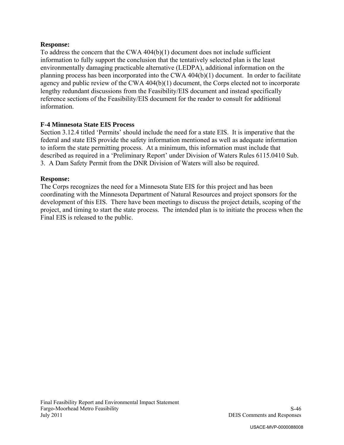To address the concern that the CWA 404(b)(1) document does not include sufficient information to fully support the conclusion that the tentatively selected plan is the least environmentally damaging practicable alternative (LEDPA), additional information on the planning process has been incorporated into the CWA 404(b)(1) document. In order to facilitate agency and public review of the CWA 404(b)(1) document, the Corps elected not to incorporate lengthy redundant discussions from the Feasibility/EIS document and instead specifically reference sections of the Feasibility/EIS document for the reader to consult for additional information.

#### **F-4 Minnesota State EIS Process**

Section 3.12.4 titled 'Permits' should include the need for a state EIS. It is imperative that the federal and state EIS provide the safety information mentioned as well as adequate information to inform the state permitting process. At a minimum, this information must include that described as required in a 'Preliminary Report' under Division of Waters Rules 6115.0410 Sub. 3. A Dam Safety Permit from the DNR Division of Waters will also be required.

#### **Response:**

The Corps recognizes the need for a Minnesota State EIS for this project and has been coordinating with the Minnesota Department of Natural Resources and project sponsors for the development of this EIS. There have been meetings to discuss the project details, scoping of the project, and timing to start the state process. The intended plan is to initiate the process when the Final EIS is released to the public.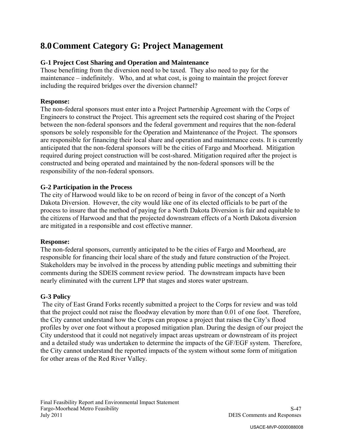# **8.0Comment Category G: Project Management**

# **G-1 Project Cost Sharing and Operation and Maintenance**

Those benefitting from the diversion need to be taxed. They also need to pay for the maintenance – indefinitely. Who, and at what cost, is going to maintain the project forever including the required bridges over the diversion channel?

# **Response:**

The non-federal sponsors must enter into a Project Partnership Agreement with the Corps of Engineers to construct the Project. This agreement sets the required cost sharing of the Project between the non-federal sponsors and the federal government and requires that the non-federal sponsors be solely responsible for the Operation and Maintenance of the Project. The sponsors are responsible for financing their local share and operation and maintenance costs. It is currently anticipated that the non-federal sponsors will be the cities of Fargo and Moorhead. Mitigation required during project construction will be cost-shared. Mitigation required after the project is constructed and being operated and maintained by the non-federal sponsors will be the responsibility of the non-federal sponsors.

# **G-2 Participation in the Process**

The city of Harwood would like to be on record of being in favor of the concept of a North Dakota Diversion. However, the city would like one of its elected officials to be part of the process to insure that the method of paying for a North Dakota Diversion is fair and equitable to the citizens of Harwood and that the projected downstream effects of a North Dakota diversion are mitigated in a responsible and cost effective manner.

# **Response:**

The non-federal sponsors, currently anticipated to be the cities of Fargo and Moorhead, are responsible for financing their local share of the study and future construction of the Project. Stakeholders may be involved in the process by attending public meetings and submitting their comments during the SDEIS comment review period. The downstream impacts have been nearly eliminated with the current LPP that stages and stores water upstream.

# **G-3 Policy**

The city of East Grand Forks recently submitted a project to the Corps for review and was told that the project could not raise the floodway elevation by more than 0.01 of one foot. Therefore, the City cannot understand how the Corps can propose a project that raises the City's flood profiles by over one foot without a proposed mitigation plan. During the design of our project the City understood that it could not negatively impact areas upstream or downstream of its project and a detailed study was undertaken to determine the impacts of the GF/EGF system. Therefore, the City cannot understand the reported impacts of the system without some form of mitigation for other areas of the Red River Valley.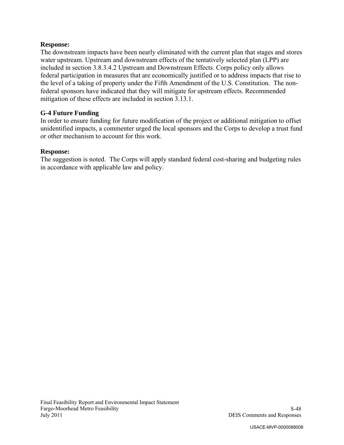The downstream impacts have been nearly eliminated with the current plan that stages and stores water upstream. Upstream and downstream effects of the tentatively selected plan (LPP) are included in section 3.8.3.4.2 Upstream and Downstream Effects. Corps policy only allows federal participation in measures that are economically justified or to address impacts that rise to the level of a taking of property under the Fifth Amendment of the U.S. Constitution. The nonfederal sponsors have indicated that they will mitigate for upstream effects. Recommended mitigation of these effects are included in section 3.13.1.

#### **G-4 Future Funding**

In order to ensure funding for future modification of the project or additional mitigation to offset unidentified impacts, a commenter urged the local sponsors and the Corps to develop a trust fund or other mechanism to account for this work.

#### **Response:**

The suggestion is noted. The Corps will apply standard federal cost-sharing and budgeting rules in accordance with applicable law and policy.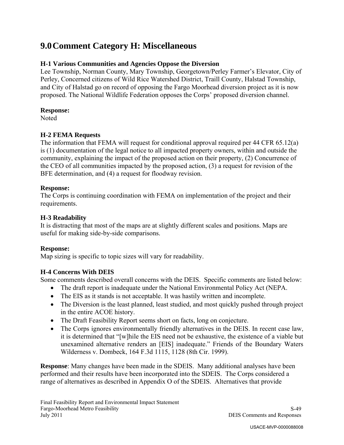# **9.0Comment Category H: Miscellaneous**

# **H-1 Various Communities and Agencies Oppose the Diversion**

Lee Township, Norman County, Mary Township, Georgetown/Perley Farmer's Elevator, City of Perley, Concerned citizens of Wild Rice Watershed District, Traill County, Halstad Township, and City of Halstad go on record of opposing the Fargo Moorhead diversion project as it is now proposed. The National Wildlife Federation opposes the Corps' proposed diversion channel.

# **Response:**

Noted

# **H-2 FEMA Requests**

The information that FEMA will request for conditional approval required per 44 CFR 65.12(a) is (1) documentation of the legal notice to all impacted property owners, within and outside the community, explaining the impact of the proposed action on their property, (2) Concurrence of the CEO of all communities impacted by the proposed action, (3) a request for revision of the BFE determination, and (4) a request for floodway revision.

# **Response:**

The Corps is continuing coordination with FEMA on implementation of the project and their requirements.

# **H-3 Readability**

It is distracting that most of the maps are at slightly different scales and positions. Maps are useful for making side-by-side comparisons.

# **Response:**

Map sizing is specific to topic sizes will vary for readability.

# **H-4 Concerns With DEIS**

Some comments described overall concerns with the DEIS. Specific comments are listed below:

- The draft report is inadequate under the National Environmental Policy Act (NEPA.
- The EIS as it stands is not acceptable. It was hastily written and incomplete.
- The Diversion is the least planned, least studied, and most quickly pushed through project in the entire ACOE history.
- The Draft Feasibility Report seems short on facts, long on conjecture.
- The Corps ignores environmentally friendly alternatives in the DEIS. In recent case law, it is determined that "[w]hile the EIS need not be exhaustive, the existence of a viable but unexamined alternative renders an [EIS] inadequate." Friends of the Boundary Waters Wilderness v. Dombeck, 164 F.3d 1115, 1128 (8th Cir. 1999).

**Response**: Many changes have been made in the SDEIS. Many additional analyses have been performed and their results have been incorporated into the SDEIS. The Corps considered a range of alternatives as described in Appendix O of the SDEIS. Alternatives that provide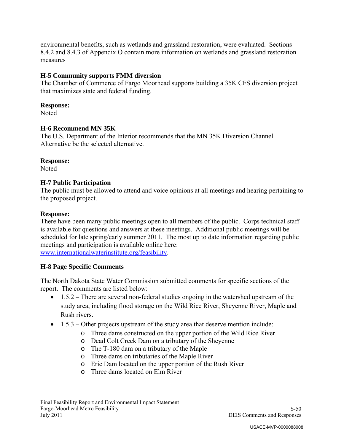environmental benefits, such as wetlands and grassland restoration, were evaluated. Sections 8.4.2 and 8.4.3 of Appendix O contain more information on wetlands and grassland restoration measures

# **H-5 Community supports FMM diversion**

The Chamber of Commerce of Fargo Moorhead supports building a 35K CFS diversion project that maximizes state and federal funding.

# **Response:**

**Noted** 

# **H-6 Recommend MN 35K**

The U.S. Department of the Interior recommends that the MN 35K Diversion Channel Alternative be the selected alternative.

# **Response:**

Noted

# **H-7 Public Participation**

The public must be allowed to attend and voice opinions at all meetings and hearing pertaining to the proposed project.

# **Response:**

There have been many public meetings open to all members of the public. Corps technical staff is available for questions and answers at these meetings. Additional public meetings will be scheduled for late spring/early summer 2011. The most up to date information regarding public meetings and participation is available online here: www.internationalwaterinstitute.org/feasibility.

# **H-8 Page Specific Comments**

The North Dakota State Water Commission submitted comments for specific sections of the report. The comments are listed below:

- 1.5.2 There are several non-federal studies ongoing in the watershed upstream of the study area, including flood storage on the Wild Rice River, Sheyenne River, Maple and Rush rivers.
- $\bullet$  1.5.3 Other projects upstream of the study area that deserve mention include:
	- o Three dams constructed on the upper portion of the Wild Rice River
	- o Dead Colt Creek Dam on a tributary of the Sheyenne
	- o The T-180 dam on a tributary of the Maple
	- o Three dams on tributaries of the Maple River
	- o Erie Dam located on the upper portion of the Rush River
	- o Three dams located on Elm River